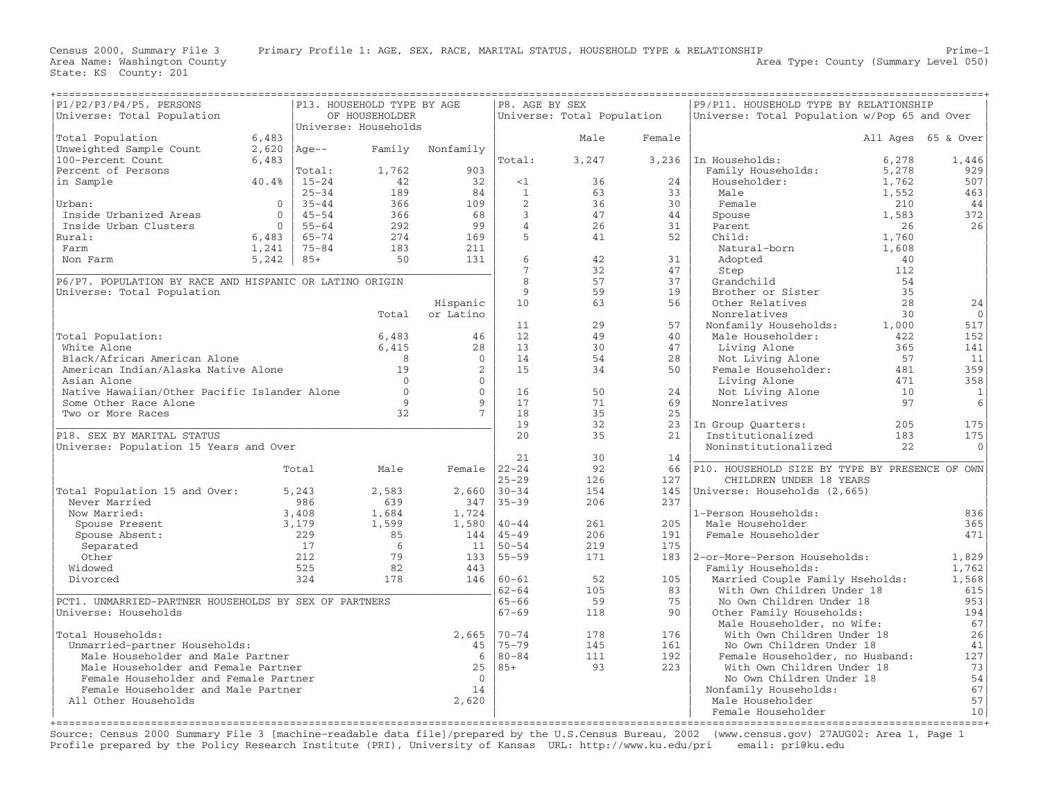| P1/P2/P3/P4/P5. PERSONS<br>Universe: Total Population                         |          |            | P13. HOUSEHOLD TYPE BY AGE<br>OF HOUSEHOLDER |                 | P8. AGE BY SEX  | Universe: Total Population |           | P9/P11. HOUSEHOLD TYPE BY RELATIONSHIP<br>Universe: Total Population w/Pop 65 and Over |       |                    |
|-------------------------------------------------------------------------------|----------|------------|----------------------------------------------|-----------------|-----------------|----------------------------|-----------|----------------------------------------------------------------------------------------|-------|--------------------|
|                                                                               |          |            | Universe: Households                         |                 |                 |                            |           |                                                                                        |       |                    |
| Total Population                                                              | 6,483    |            |                                              |                 |                 | Male                       | Female    |                                                                                        |       | All Ages 65 & Over |
| Unweighted Sample Count                                                       | 2,620    | $Aqe--$    | Family                                       | Nonfamily       |                 |                            |           |                                                                                        |       |                    |
| 100-Percent Count                                                             | 6,483    |            |                                              |                 | Total:          | 3,247                      |           | 3,236   In Households:                                                                 | 6,278 | 1,446              |
| Percent of Persons                                                            |          | Total:     | 1,762                                        | 903             |                 |                            |           | Family Households:                                                                     | 5,278 | 929                |
| in Sample                                                                     | 40.4%    | $15 - 24$  | 42                                           | 32              | <1              | 36                         | 24        | Householder:                                                                           | 1,762 | 507                |
|                                                                               |          | $25 - 34$  | 189                                          | 84              | $\mathbf{1}$    | 63                         | 33        | Male                                                                                   | 1,552 | 463                |
| Urban:                                                                        | $\circ$  | $35 - 44$  | 366                                          | 109             | 2               | 36                         | 30        | Female                                                                                 | 210   | 44                 |
| Inside Urbanized Areas                                                        | $\Omega$ | $45 - 54$  | 366                                          | 68              | $\mathbf{3}$    | 47                         | 44        | Spouse                                                                                 | 1,583 | 372                |
| Inside Urban Clusters                                                         | $\Omega$ | $55 - 64$  | 292                                          | 99              | $\overline{4}$  | 26                         | 31        | Parent                                                                                 | 26    | 26                 |
| Rural:                                                                        | 6,483    | $65 - 74$  | 274                                          | 169             | 5               | 41                         | 52        | Child:                                                                                 | 1,760 |                    |
| Farm                                                                          | 1,241    | $75 - 84$  | 183                                          | 211             |                 |                            |           | Natural-born                                                                           | 1,608 |                    |
| Non Farm                                                                      | 5,242    | $85+$      | 50                                           | 131             | 6               | 42                         | 31        | Adopted                                                                                | 40    |                    |
|                                                                               |          |            |                                              |                 | $7\phantom{.0}$ | 32                         | 47        | Step                                                                                   | 112   |                    |
| P6/P7. POPULATION BY RACE AND HISPANIC OR LATINO ORIGIN                       |          |            |                                              |                 | 8               | 57                         | 37        | Grandchild                                                                             | 54    |                    |
| Universe: Total Population                                                    |          |            |                                              |                 | 9               | 59                         | 19        | Brother or Sister                                                                      | 35    |                    |
|                                                                               |          |            |                                              | Hispanic        | 10              | 63                         | 56        | Other Relatives                                                                        | 28    | 24                 |
|                                                                               |          |            | Total                                        | or Latino       |                 |                            |           | Nonrelatives                                                                           | 30    | $\circ$            |
|                                                                               |          |            |                                              |                 | 11              | 29                         | 57        | Nonfamily Households:                                                                  | 1,000 | 517                |
| Total Population:                                                             |          |            | 6,483                                        | 46              | 12              | 49                         | 40        | Male Householder:                                                                      | 422   | 152                |
| White Alone                                                                   |          |            | 6,415                                        | 28              | 13              | 30                         | 47        | Living Alone                                                                           | 365   | 141                |
| Black/African American Alone                                                  |          |            | 8                                            | $\mathbf{0}$    | 14              | 54                         | 28        | Not Living Alone                                                                       | 57    | 11                 |
| American Indian/Alaska Native Alone                                           |          |            | 19                                           | $\overline{2}$  | 15              | 34                         | 50        | Female Householder:                                                                    | 481   | 359                |
| Asian Alone                                                                   |          |            | $\Omega$                                     | $\Omega$        |                 |                            |           | Living Alone                                                                           | 471   | 358                |
| Native Hawaiian/Other Pacific Islander Alone                                  |          |            | $\overline{0}$                               | $\mathbf{0}$    | 16              | 50                         | 24        | Not Living Alone                                                                       | 10    | $\mathbf{1}$       |
| Some Other Race Alone                                                         |          |            | 9                                            | 9               | 17              | 71                         | 69        | Nonrelatives                                                                           | 97    | $6\,$              |
| Two or More Races                                                             |          |            | 32                                           | 7 <sup>7</sup>  | 18              | 35                         | 25        |                                                                                        |       |                    |
|                                                                               |          |            |                                              |                 | 19              | 32                         |           | 23 In Group Quarters:                                                                  | 205   | 175                |
| P18. SEX BY MARITAL STATUS                                                    |          |            |                                              |                 | 20              | 35                         | 21        | Institutionalized                                                                      | 183   | 175                |
| Universe: Population 15 Years and Over                                        |          |            |                                              |                 |                 |                            |           | Noninstitutionalized                                                                   | 22    | $\mathbf{0}$       |
|                                                                               |          |            |                                              |                 | 21              | 30                         | 14        |                                                                                        |       |                    |
|                                                                               |          | Total      | Male                                         | Female $ 22-24$ |                 | 92                         | 66        | P10. HOUSEHOLD SIZE BY TYPE BY PRESENCE OF OWN                                         |       |                    |
|                                                                               |          |            |                                              |                 | $25 - 29$       | 126                        | 127       | CHILDREN UNDER 18 YEARS                                                                |       |                    |
| Total Population 15 and Over:                                                 |          | 5,243      | 2,583                                        | 2,660           | $30 - 34$       | 154                        | 145       | Universe: Households (2,665)                                                           |       |                    |
| Never Married                                                                 |          | 986        | 639                                          | 347             | $35 - 39$       | 206                        | 237       |                                                                                        |       |                    |
| Now Married:                                                                  |          | 3,408      | 1,684                                        | 1,724           |                 |                            |           | 1-Person Households:                                                                   |       | 836                |
| Spouse Present                                                                |          | 3,179      | 1,599                                        | 1,580           | $40 - 44$       | 261                        | 205       | Male Householder                                                                       |       | 365                |
| Spouse Absent:                                                                |          | 229        | 85                                           | 144             | $145 - 49$      | 206                        | 191       | Female Householder                                                                     |       | 471                |
| Separated                                                                     |          | 17         | 6                                            | 11              | $150 - 54$      | 219                        | 175       | 2-or-More-Person Households:                                                           |       |                    |
| Other                                                                         |          | 212        | 79                                           | 133             | $155 - 59$      | 171                        | 183       |                                                                                        |       | 1,829              |
| Widowed                                                                       |          | 525<br>324 | 82<br>178                                    | 443             | $146$ $ 60-61$  | 52                         |           | Family Households:                                                                     |       | 1,762<br>1,568     |
| Divorced                                                                      |          |            |                                              |                 | $62 - 64$       | 105                        | 105<br>83 | Married Couple Family Hseholds:<br>With Own Children Under 18                          |       | 615                |
|                                                                               |          |            |                                              |                 | $65 - 66$       | 59                         | 75        |                                                                                        |       | 953                |
| PCT1. UNMARRIED-PARTNER HOUSEHOLDS BY SEX OF PARTNERS<br>Universe: Households |          |            |                                              |                 | $67 - 69$       | 118                        | 90        | No Own Children Under 18                                                               |       |                    |
|                                                                               |          |            |                                              |                 |                 |                            |           | Other Family Households:                                                               |       | 194<br>67          |
| Total Households:                                                             |          |            |                                              |                 | $170 - 74$      | 178                        | 176       | Male Householder, no Wife:<br>With Own Children Under 18                               |       | 26                 |
|                                                                               |          |            |                                              | 2,665           | $ 75 - 79 $     | 145                        | 161       | No Own Children Under 18                                                               |       |                    |
| Unmarried-partner Households:<br>Male Householder and Male Partner            |          |            |                                              | 45<br>6         | $ 80 - 84$      | 111                        | 192       | Female Householder, no Husband:                                                        |       | 41<br>127          |
| Male Householder and Female Partner                                           |          |            |                                              | 25              | 85+             | 93                         | 223       | With Own Children Under 18                                                             |       | 73                 |
| Female Householder and Female Partner                                         |          |            |                                              | $\Omega$        |                 |                            |           | No Own Children Under 18                                                               |       | 54                 |
| Female Householder and Male Partner                                           |          |            |                                              | 14              |                 |                            |           | Nonfamily Households:                                                                  |       | 67                 |
| All Other Households                                                          |          |            |                                              | 2,620           |                 |                            |           | Male Householder                                                                       |       | 57                 |
|                                                                               |          |            |                                              |                 |                 |                            |           | Female Householder                                                                     |       | 10                 |
|                                                                               |          |            |                                              |                 |                 |                            |           |                                                                                        |       |                    |

+===================================================================================================================================================+ Source: Census 2000 Summary File 3 [machine−readable data file]/prepared by the U.S.Census Bureau, 2002 (www.census.gov) 27AUG02: Area 1, Page 1 Profile prepared by the Policy Research Institute (PRI), University of Kansas URL: http://www.ku.edu/pri email: pri@ku.edu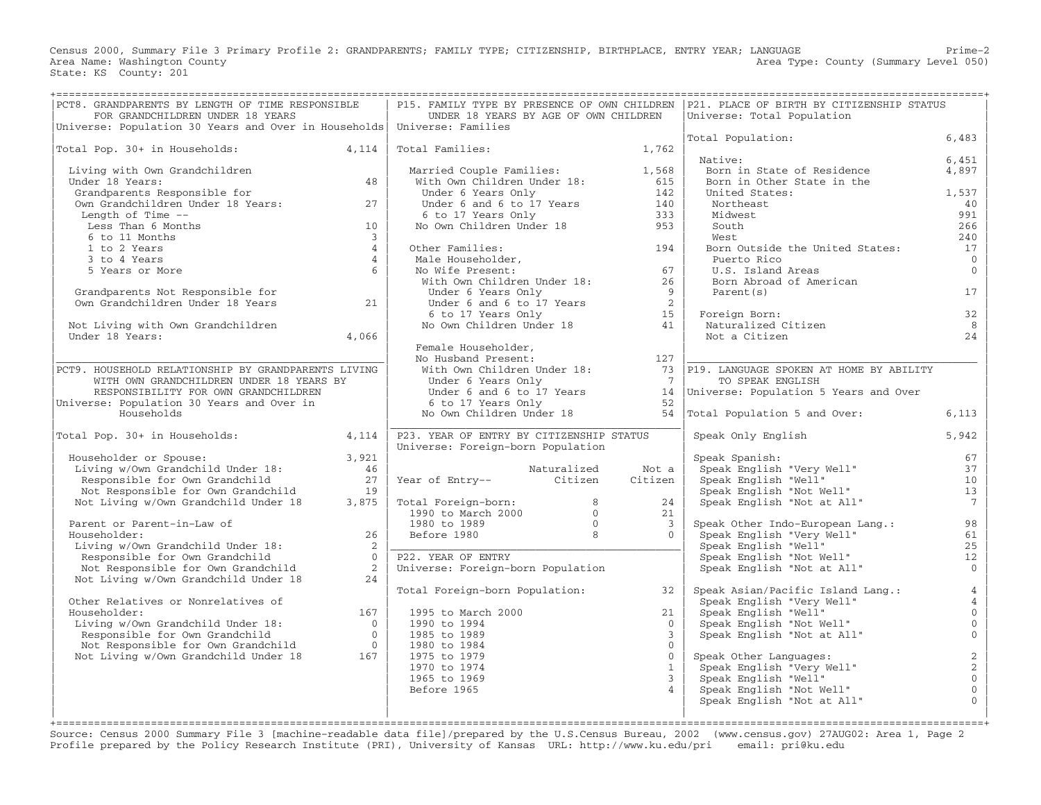Census 2000, Summary File 3 Primary Profile 2: GRANDPARENTS; FAMILY TYPE; CITIZENSHIP, BIRTHPLACE, ENTRY YEAR; LANGUAGE Prime−2 Area Name: Washington County (Summary Level 050) (Area Type: County (Summary Level 050) State: KS County: 201

| PCT8. GRANDPARENTS BY LENGTH OF TIME RESPONSIBLE<br>FOR GRANDCHILDREN UNDER 18 YEARS                 | UNDER 18 YEARS BY AGE OF OWN CHILDREN                                                                 |                          | P15. FAMILY TYPE BY PRESENCE OF OWN CHILDREN   P21. PLACE OF BIRTH BY CITIZENSHIP STATUS<br>Universe: Total Population |                |
|------------------------------------------------------------------------------------------------------|-------------------------------------------------------------------------------------------------------|--------------------------|------------------------------------------------------------------------------------------------------------------------|----------------|
| Universe: Population 30 Years and Over in Households   Universe: Families                            |                                                                                                       |                          | Total Population:                                                                                                      | 6,483          |
| Total Pop. 30+ in Households: 4,114                                                                  | Total Families: 1,762                                                                                 |                          | Native:                                                                                                                | 6.451          |
| Living with Own Grandchildren                                                                        | Married Couple Families: 1,568<br>With Own Children Under 18: 615                                     |                          | Born in State of Residence                                                                                             | 4,897          |
| Under 18 Years:<br>48                                                                                |                                                                                                       |                          | Born in Other State in the                                                                                             |                |
| Grandparents Responsible for<br>Grandparents Responsible for<br>Own Grandchildren Under 18 Years: 27 |                                                                                                       | 142<br>140               | United States:<br>Northeast                                                                                            | 1,537<br>40    |
| Length of Time --                                                                                    |                                                                                                       | 333                      | Midwest                                                                                                                | 991            |
| 10<br>Less Than 6 Months                                                                             | Under 6 Years Only<br>Under 6 and 6 to 17 Years<br>6 to 17 Years Only<br>No Own Children Under 18     | 953                      | South                                                                                                                  | 266            |
| 6 to 11 Months<br>$\overline{3}$                                                                     |                                                                                                       |                          | West                                                                                                                   | 240            |
| $\overline{4}$<br>1 to 2 Years                                                                       | Other Families:                                                                                       |                          | Born Outside the United States:                                                                                        | 17             |
| 3 to 4 Years<br>$\overline{4}$                                                                       | Other Families: 194<br>Male Householder, 194<br>No Wife Present: 67<br>With Own Children Under 18: 26 |                          | Puerto Rico                                                                                                            | $\overline{0}$ |
| 5 Years or More<br>$6\overline{6}$                                                                   |                                                                                                       |                          | U.S. Island Areas                                                                                                      | $\Omega$       |
|                                                                                                      |                                                                                                       |                          | Born Abroad of American                                                                                                |                |
| Grandparents Not Responsible for<br>Own Grandchildren Under 18 Years 21                              | Under 6 Years Only                                                                                    | $\overline{9}$           | Parent(s)                                                                                                              | 17             |
|                                                                                                      |                                                                                                       |                          | Foreign Born:                                                                                                          | 32             |
| Not Living with Own Grandchildren                                                                    | Under 6 and 6 to 17 Years<br>6 to 17 Years Only<br>No Own Children Under 18 41                        |                          | Foreign Born:<br>Naturalized Citizen                                                                                   | 8              |
| Under 18 Years:<br>4,066                                                                             |                                                                                                       |                          | Not a Citizen                                                                                                          | 24             |
|                                                                                                      | Female Householder,                                                                                   |                          |                                                                                                                        |                |
|                                                                                                      | No Husband Present:                                                                                   | 127                      |                                                                                                                        |                |
| PCT9. HOUSEHOLD RELATIONSHIP BY GRANDPARENTS LIVING                                                  | With Own Children Under 18:<br>Under 6 Yours 0:1                                                      |                          | 73 P19. LANGUAGE SPOKEN AT HOME BY ABILITY                                                                             |                |
| WITH OWN GRANDCHILDREN UNDER 18 YEARS BY<br>RESPONSIBILITY FOR OWN GRANDCHILDREN                     | Under 6 Years Only                                                                                    | $\overline{7}$           | TO SPEAK ENGLISH<br>Under 6 and 6 to 17 Years 14 Universe: Population 5 Years and Over                                 |                |
| Universe: Population 30 Years and Over in                                                            | 6 to 17 Years Only                                                                                    | 52                       |                                                                                                                        |                |
| Households                                                                                           | No Own Children Under 18                                                                              | 54                       | Total Population 5 and Over:                                                                                           | 6,113          |
|                                                                                                      |                                                                                                       |                          |                                                                                                                        |                |
| Total Pop. 30+ in Households:<br>4,114                                                               | P23. YEAR OF ENTRY BY CITIZENSHIP STATUS                                                              |                          | Speak Only English                                                                                                     | 5,942          |
|                                                                                                      | Universe: Foreign-born Population                                                                     |                          |                                                                                                                        |                |
| Householder or Spouse:<br>3,921<br>Living w/Own Grandchild Under 18:<br>46                           | Naturalized                                                                                           | Not a                    | Speak Spanish:                                                                                                         | 67<br>37       |
| Responsible for Own Grandchild<br>27                                                                 | Year of Entry--<br>Citizen                                                                            | Citizen                  | Speak English "Very Well"<br>Speak English "Well"                                                                      | 10             |
| Not Responsible for Own Grandchild<br>19                                                             |                                                                                                       |                          | Speak English "Not Well"                                                                                               | 13             |
| Not Living w/Own Grandchild Under 18<br>3,875                                                        | Total Foreign-born: 8<br>1990 to March 2000 0<br>1980 to 1989 0<br>Before 1980 8                      | 24                       | Speak English "Not at All"                                                                                             | $7^{\circ}$    |
|                                                                                                      |                                                                                                       | 21                       |                                                                                                                        |                |
| Parent or Parent-in-Law of                                                                           |                                                                                                       | $\overline{3}$           | Speak Other Indo-European Lang.:                                                                                       | 98             |
| 26<br>Householder:                                                                                   |                                                                                                       | $\Omega$                 | Speak English "Very Well"                                                                                              | 61             |
| Living w/Own Grandchild Under 18:<br>$\overline{2}$<br>Responsible for Own Grandchild<br>$\Omega$    | P22. YEAR OF ENTRY                                                                                    |                          | Speak English "Well"<br>Speak English "Not Well"                                                                       | 25<br>12       |
| Not Responsible for Own Grandchild<br>$\overline{2}$                                                 | Universe: Foreign-born Population                                                                     |                          | Speak English "Not at All"                                                                                             | $\Omega$       |
| Not Living w/Own Grandchild Under 18<br>24                                                           |                                                                                                       |                          |                                                                                                                        |                |
|                                                                                                      | Total Foreign-born Population:                                                                        | 32                       | Speak Asian/Pacific Island Lang.:                                                                                      | $\overline{4}$ |
| Other Relatives or Nonrelatives of                                                                   |                                                                                                       |                          | Speak English "Very Well"                                                                                              | $\overline{4}$ |
| Householder:<br>167                                                                                  | 1995 to March 2000                                                                                    | 21                       | .  yısn "Well"<br>Speak English "Not Well"<br>Speak English "''                                                        | $\Omega$       |
| Living w/Own Grandchild Under 18:                                                                    | 1990 to 1994                                                                                          | $\Omega$                 |                                                                                                                        | $\mathbf 0$    |
|                                                                                                      | 1985 to 1989<br>1980 to 1984                                                                          | $\mathbf{3}$<br>$\Omega$ | Speak English "Not at All"                                                                                             | $\mathbf{0}$   |
| Not Living w/Own Grandchild Under 18                                                                 | 1975 to 1979                                                                                          | $\Omega$                 | Speak Other Languages:                                                                                                 | $\sqrt{2}$     |
|                                                                                                      | 1970 to 1974                                                                                          | 1                        | Speak English "Very Well"                                                                                              | $\sqrt{2}$     |
|                                                                                                      | 1965 to 1969                                                                                          | $\mathcal{E}$            | Speak English "Well"                                                                                                   | $\mathbf 0$    |
|                                                                                                      | Before 1965                                                                                           | $\overline{4}$           | Speak English "Not Well"                                                                                               | $\mathbf{0}$   |
|                                                                                                      |                                                                                                       |                          | Speak English "Not at All"                                                                                             | $\mathbf{O}$   |
|                                                                                                      |                                                                                                       |                          |                                                                                                                        |                |

Source: Census 2000 Summary File 3 [machine−readable data file]/prepared by the U.S.Census Bureau, 2002 (www.census.gov) 27AUG02: Area 1, Page 2 Profile prepared by the Policy Research Institute (PRI), University of Kansas URL: http://www.ku.edu/pri email: pri@ku.edu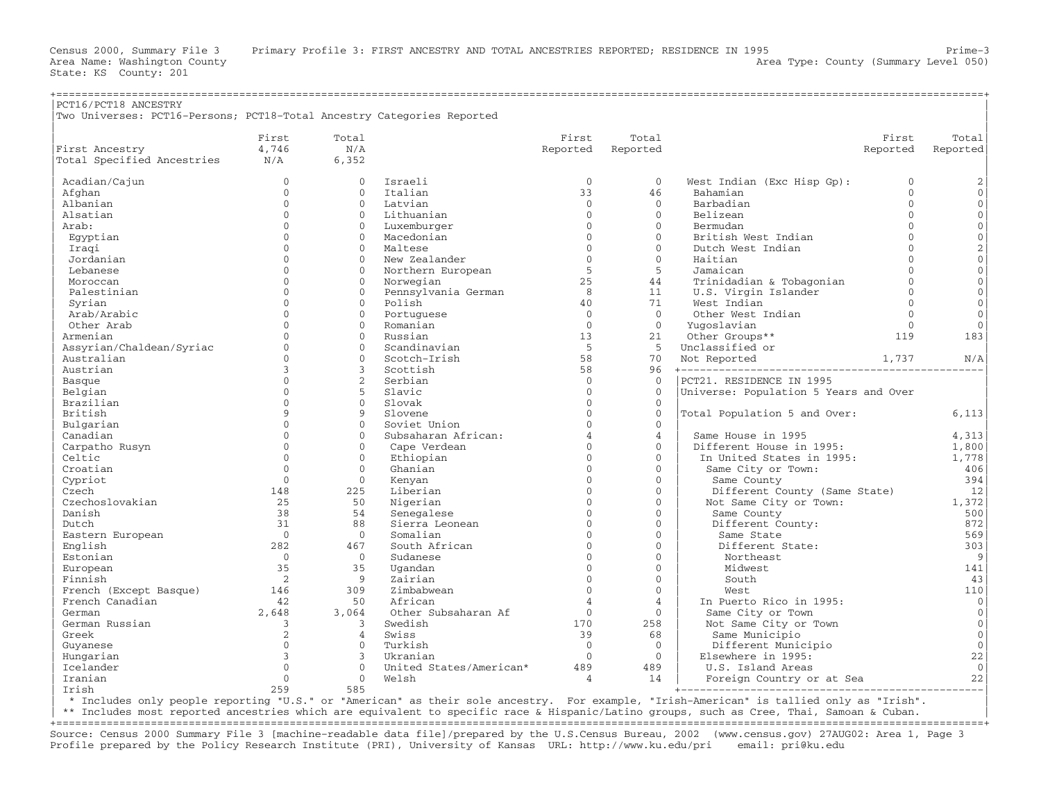| PCT16/PCT18 ANCESTRY<br>Two Universes: PCT16-Persons; PCT18-Total Ancestry Categories Reported |                |                |                         |                |                |                                       |              |                     |
|------------------------------------------------------------------------------------------------|----------------|----------------|-------------------------|----------------|----------------|---------------------------------------|--------------|---------------------|
|                                                                                                | First          | Total          |                         | First          | Total          |                                       | First        | Total               |
| First Ancestry                                                                                 | 4,746          | N/A            |                         | Reported       | Reported       |                                       | Reported     | Reported            |
| Total Specified Ancestries                                                                     | N/A            | 6,352          |                         |                |                |                                       |              |                     |
| Acadian/Cajun                                                                                  | $\Omega$       | $\Omega$       | <b>Tsraeli</b>          | $\Omega$       | $\Omega$       | West Indian (Exc Hisp Gp):            | $\mathbf{0}$ | $\sqrt{2}$          |
| Afghan                                                                                         | $\Omega$       | $\Omega$       | Italian                 | 33             | 46             | Bahamian                              | $\Omega$     | $\mathsf{O}\xspace$ |
| Albanian                                                                                       | $\Omega$       | $\Omega$       | Latvian                 | $\Omega$       | $\Omega$       | Barbadian                             | $\Omega$     | $\mathbf{0}$        |
| Alsatian                                                                                       | $\Omega$       | $\mathbf{0}$   | Lithuanian              | $\Omega$       | $\mathbf{0}$   | Belizean                              | $\Omega$     | $\mathsf{O}\xspace$ |
| Arab:                                                                                          | $\cap$         | $\Omega$       | Luxemburger             | $\Omega$       | $\Omega$       | Bermudan                              | $\Omega$     | $\mathbf{0}$        |
| Egyptian                                                                                       | $\cap$         | $\Omega$       | Macedonian              | $\Omega$       | $\Omega$       | British West Indian                   | $\Omega$     | $\mathsf{O}\xspace$ |
| Iraqi                                                                                          | $\cap$         | $\Omega$       | Maltese                 | $\Omega$       | $\Omega$       | Dutch West Indian                     | $\Omega$     | $\overline{a}$      |
| Jordanian                                                                                      | $\cap$         | $\mathbf{0}$   | New Zealander           | $\Omega$       | $\Omega$       | Haitian                               | $\Omega$     | $\mathsf{O}\xspace$ |
| Lebanese                                                                                       | $\cap$         | $\Omega$       | Northern European       | 5              | 5              | Jamaican                              | $\Omega$     | $\mathbf 0$         |
| Moroccan                                                                                       | $\cap$         | $\Omega$       | Norwegian               | 25             | 44             | Trinidadian & Tobagonian              | $\cap$       | $\mathsf{O}\xspace$ |
| Palestinian                                                                                    | $\Omega$       | $\Omega$       | Pennsylvania German     | 8              | 11             | U.S. Virgin Islander                  | $\Omega$     | $\overline{0}$      |
| Syrian                                                                                         | $\cap$         | $\Omega$       | Polish                  | 40             | 71             | West Indian                           | $\Omega$     | $\mathsf{O}\xspace$ |
| Arab/Arabic                                                                                    | $\Omega$       | $\Omega$       | Portuguese              | $\Omega$       | $\Omega$       | Other West Indian                     | $\Omega$     | $\overline{0}$      |
| Other Arab                                                                                     | $\Omega$       | $\Omega$       | Romanian                | $\Omega$       | $\Omega$       | Yuqoslavian                           | $\Omega$     | $\Omega$            |
| Armenian                                                                                       | $\Omega$       | $\Omega$       | Russian                 | 13             | 21             | Other Groups**                        | 119          | 183                 |
| Assyrian/Chaldean/Syriac                                                                       | $\Omega$       | $\Omega$       | Scandinavian            | 5              | -5             | Unclassified or                       |              |                     |
| Australian                                                                                     | $\Omega$       | $\Omega$       | Scotch-Irish            | 58             | 70             | Not Reported                          | 1,737        | N/A                 |
| Austrian                                                                                       | 3              | 3              | Scottish                | 58             | 96             | +----------------------------------   |              |                     |
| Basque                                                                                         | $\Omega$       | $\overline{2}$ | Serbian                 | $\mathbf 0$    | $\overline{0}$ | PCT21. RESIDENCE IN 1995              |              |                     |
| Belgian                                                                                        | $\Omega$       | 5              | Slavic                  | $\Omega$       | $\Omega$       | Universe: Population 5 Years and Over |              |                     |
| Brazilian                                                                                      | $\cap$         | $\Omega$       | Slovak                  | $\Omega$       | $\mathbf{0}$   |                                       |              |                     |
| British                                                                                        | $\mathsf{Q}$   | 9              | Slovene                 | $\Omega$       | $\Omega$       | Total Population 5 and Over:          |              | 6,113               |
| Bulgarian                                                                                      | $\Omega$       | $\Omega$       | Soviet Union            | $\Omega$       | $\mathbf{0}$   |                                       |              |                     |
| Canadian                                                                                       | $\Omega$       | $\Omega$       | Subsaharan African:     | $\overline{a}$ | $\overline{4}$ | Same House in 1995                    |              | 4,313               |
| Carpatho Rusyn                                                                                 | $\Omega$       | $\Omega$       | Cape Verdean            | $\Omega$       | $\Omega$       | Different House in 1995:              |              | 1,800               |
| Celtic                                                                                         | $\Omega$       | $\Omega$       | Ethiopian               | $\Omega$       | $\Omega$       | In United States in 1995:             |              | 1,778               |
| Croatian                                                                                       | $\Omega$       | $\mathbf 0$    | Ghanian                 | $\Omega$       | $\Omega$       | Same City or Town:                    |              | 406                 |
| Cypriot                                                                                        | $\Omega$       | $\mathbf{0}$   | Kenyan                  | $\Omega$       | $\mathbf{0}$   | Same County                           |              | 394                 |
| Czech                                                                                          | 148            | 225            | Liberian                | $\Omega$       | $\Omega$       | Different County (Same State)         |              | 12                  |
| Czechoslovakian                                                                                | 25             | 50             | Nigerian                | $\Omega$       | $\mathbf{0}$   | Not Same City or Town:                |              | 1,372               |
| Danish                                                                                         | 38             | 54             | Senegalese              | $\Omega$       | $\mathbf{0}$   | Same County                           |              | 500                 |
| Dutch                                                                                          | 31             | 88             | Sierra Leonean          | $\Omega$       | $\Omega$       | Different County:                     |              | 872                 |
| Eastern European                                                                               | $\overline{0}$ | $\Omega$       | Somalian                | $\Omega$       | $\Omega$       | Same State                            |              | 569                 |
| English                                                                                        | 282            | 467            | South African           | $\Omega$       | $\Omega$       | Different State:                      |              | 303                 |
| Estonian                                                                                       | $\overline{0}$ | $\overline{0}$ | Sudanese                | $\Omega$       | $\mathbf{0}$   | Northeast                             |              | $\overline{9}$      |
| European                                                                                       | 35             | 35             | Uqandan                 | $\Omega$       | $\Omega$       | Midwest                               |              | 141                 |
| Finnish                                                                                        | $\overline{2}$ | -9             | Zairian                 | $\Omega$       | $\Omega$       | South                                 |              | 43                  |
| French (Except Basque)                                                                         | 146            | 309            | Zimbabwean              | $\Omega$       | $\Omega$       | West                                  |              | 110                 |
| French Canadian                                                                                | 42             | 50             | African                 | $\overline{4}$ | $\overline{4}$ | In Puerto Rico in 1995:               |              | $\circ$             |
| German                                                                                         | 2,648          | 3,064          | Other Subsaharan Af     | $\Omega$       | $\Omega$       | Same City or Town                     |              | $\mathbf{0}$        |
| German Russian                                                                                 | 3              | 3              | Swedish                 | 170            | 258            | Not Same City or Town                 |              | $\circ$             |
| Greek                                                                                          | $\overline{2}$ | $\overline{4}$ | Swiss                   | 39             | 68             | Same Municipio                        |              | $\circ$             |
| Guyanese                                                                                       | $\mathbf{0}$   | $\Omega$       | Turkish                 | $\Omega$       | $\mathbf{0}$   | Different Municipio                   |              | $\circ$             |
| Hungarian                                                                                      | 3              | 3              | Ukranian                | $\Omega$       | $\Omega$       | Elsewhere in 1995:                    |              | 22                  |
| Icelander                                                                                      | $\Omega$       | $\Omega$       | United States/American* | 489            | 489            | U.S. Island Areas                     |              | $\Omega$            |
| Iranian                                                                                        | $\Omega$       | $\mathbf{0}$   | Welsh                   | 4              | 14             | Foreign Country or at Sea             |              | 22                  |
| Irish                                                                                          | 259            | 585            |                         |                |                |                                       |              |                     |

| \* Includes only people reporting "U.S." or "American" as their sole ancestry. For example, "Irish−American" is tallied only as "Irish". |

\*\* Includes most reported ancestries which are equivalent to specific race & Hispanic/Latino groups, such as Cree, Thai, Samoan & Cuban.

+===================================================================================================================================================+ Source: Census 2000 Summary File 3 [machine−readable data file]/prepared by the U.S.Census Bureau, 2002 (www.census.gov) 27AUG02: Area 1, Page 3 Profile prepared by the Policy Research Institute (PRI), University of Kansas URL: http://www.ku.edu/pri email: pri@ku.edu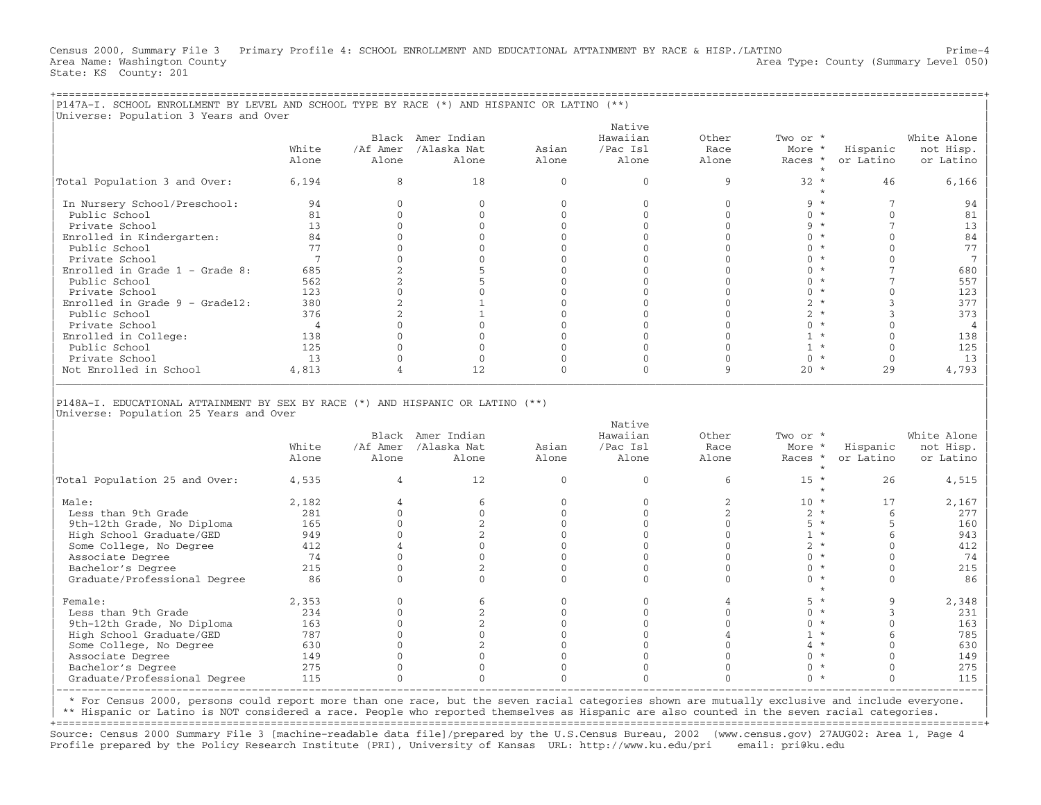Census 2000, Summary File 3 Primary Profile 4: SCHOOL ENROLLMENT AND EDUCATIONAL ATTAINMENT BY RACE & HISP./LATINO Prime−4 Area Name: Washington County (Summary Level 050) (Area Type: County (Summary Level 050) State: KS County: 201

| P147A-I. SCHOOL ENROLLMENT BY LEVEL AND SCHOOL TYPE BY RACE (*) AND HISPANIC OR LATINO (**)                              |                |                |                               |                          |                          |                |                   |                       |                        |
|--------------------------------------------------------------------------------------------------------------------------|----------------|----------------|-------------------------------|--------------------------|--------------------------|----------------|-------------------|-----------------------|------------------------|
| Universe: Population 3 Years and Over                                                                                    |                |                |                               |                          | Native                   |                |                   |                       |                        |
|                                                                                                                          |                |                | Black Amer Indian             |                          | Hawaiian                 | Other          | Two or *          |                       | White Alone            |
|                                                                                                                          | White          | /Af Amer       | /Alaska Nat                   | Asian                    | /Pac Isl                 | Race           | More *            | Hispanic              | not Hisp.              |
|                                                                                                                          | Alone          | Alone          | Alone                         | Alone                    | Alone                    | Alone          | Races *           | or Latino             | or Latino              |
|                                                                                                                          |                |                |                               |                          |                          |                |                   |                       |                        |
| Total Population 3 and Over:                                                                                             | 6,194          | 8              | 18                            | $\mathbf{0}$             | $\Omega$                 | 9              | $32 *$<br>$\star$ | 46                    | 6,166                  |
| In Nursery School/Preschool:                                                                                             | 94             | $\mathbf{0}$   | $\mathbf{0}$                  | $\mathbf{0}$             | $\mathbf{0}$             | $\mathbf{0}$   | $9 *$             | $7\phantom{.0}$       | 94                     |
| Public School                                                                                                            | 81             | $\mathbf{0}$   | $\mathbf{0}$                  | $\mathbf{0}$             | $\mathbf 0$              | $\mathbf{0}$   | $0 *$             | $\mathbf 0$           | 81                     |
| Private School                                                                                                           | 13             | $\Omega$       | $\Omega$                      | $\Omega$                 | $\Omega$                 | $\Omega$       | $9 *$             | 7                     | 13                     |
| Enrolled in Kindergarten:                                                                                                | 84             | $\Omega$       | $\Omega$                      | $\Omega$                 | $\Omega$                 | $\Omega$       | $0 *$             | $\Omega$              | 84                     |
| Public School                                                                                                            | 77             | $\Omega$       | $\Omega$                      | $\mathbf{0}$             | $\mathbf{0}$             | $\mathbf{0}$   | $0 *$             | $\Omega$              | 77                     |
| Private School                                                                                                           | $\overline{7}$ | $\Omega$       | $\Omega$                      | $\Omega$                 | $\Omega$                 | $\Omega$       | $0 *$             | $\Omega$              | 7                      |
| Enrolled in Grade $1$ - Grade 8:                                                                                         | 685            | $\overline{c}$ | 5                             | $\mathbf 0$              | $\mathbf{0}$             | $\mathbf{0}$   | $0 *$             | $\overline{7}$        | 680                    |
| Public School                                                                                                            | 562            | 2              | 5                             | $\Omega$                 | $\Omega$                 | $\Omega$       | $0 *$             | $\overline{7}$        | 557                    |
| Private School                                                                                                           | 123            | $\mathbf{0}$   | $\mathbf{0}$                  | $\mathbf 0$              | $\mathbf 0$              | $\mathbf{0}$   | $0 *$             | $\Omega$              | 123                    |
| Enrolled in Grade $9 -$ Grade12:                                                                                         | 380            | 2              | $\mathbf{1}$                  | $\mathbf{0}$             | $\Omega$                 | $\Omega$       | $2 *$             | 3                     | 377                    |
| Public School                                                                                                            | 376            | $\overline{c}$ | 1                             | $\Omega$                 | $\Omega$                 | $\Omega$       | $2 *$             | 3                     | 373                    |
| Private School                                                                                                           | $\overline{4}$ | $\Omega$       | $\Omega$                      | $\Omega$                 | $\Omega$                 | $\Omega$       | $0 *$             | $\Omega$              | 4                      |
| Enrolled in College:                                                                                                     | 138            | $\Omega$       | $\Omega$                      | $\Omega$                 | $\Omega$                 | $\Omega$       | $1 *$             | $\Omega$              | 138                    |
| Public School                                                                                                            | 125            | $\Omega$       | $\Omega$                      | $\Omega$                 | $\Omega$                 | $\mathbf{0}$   | $1 *$             | $\Omega$              | 125                    |
| Private School                                                                                                           | 13             | $\Omega$       | $\mathbf{0}$                  | $\mathbf{0}$             | $\mathbf{0}$             | $\mathbf{0}$   | $0 *$             | $\Omega$              | 13                     |
| Not Enrolled in School                                                                                                   | 4,813          | 4              | 12                            | $\mathbf 0$              | $\mathbf 0$              | 9              | $20 *$            | 29                    | 4,793                  |
|                                                                                                                          |                |                |                               |                          |                          |                |                   |                       |                        |
|                                                                                                                          |                |                |                               |                          |                          |                |                   |                       |                        |
| P148A-I. EDUCATIONAL ATTAINMENT BY SEX BY RACE (*) AND HISPANIC OR LATINO (**)<br>Universe: Population 25 Years and Over |                |                |                               |                          | Native                   |                |                   |                       |                        |
|                                                                                                                          |                |                | Black Amer Indian             |                          | Hawaiian                 | Other          | Two or *          |                       |                        |
|                                                                                                                          | White          |                |                               |                          |                          |                |                   |                       | White Alone            |
|                                                                                                                          | Alone          | Alone          | /Af Amer /Alaska Nat<br>Alone | Asian<br>Alone           | /Pac Isl<br>Alone        | Race<br>Alone  | More *<br>Races * | Hispanic<br>or Latino | not Hisp.<br>or Latino |
| Total Population 25 and Over:                                                                                            | 4,535          | $\overline{4}$ | 12                            | $\mathbf{0}$             | $\mathbf{0}$             | 6              | $15 *$<br>$\star$ | 26                    | 4,515                  |
| Male:                                                                                                                    |                | $\overline{4}$ | 6                             | $\mathbf{0}$             | $\Omega$                 | 2              | $10 *$            | 17                    |                        |
|                                                                                                                          | 2,182          | $\Omega$       |                               |                          |                          |                |                   |                       | 2,167                  |
| Less than 9th Grade                                                                                                      | 281            | $\Omega$       | $\mathbf{0}$                  | $\mathbf{0}$             | $\mathbf{0}$<br>$\Omega$ | 2<br>$\Omega$  | $2 *$             | 6                     | 277                    |
| 9th-12th Grade, No Diploma                                                                                               | 165            | $\Omega$       | 2                             | $\mathbf{0}$<br>$\Omega$ | $\Omega$                 | $\Omega$       | $5 *$             | 5<br>6                | 160                    |
| High School Graduate/GED                                                                                                 | 949            |                | $\overline{2}$                |                          |                          |                | $1 *$             |                       | 943                    |
| Some College, No Degree                                                                                                  | 412            | $\overline{4}$ | $\Omega$                      | $\mathbf 0$              | $\Omega$                 | $\Omega$       | $2 *$             | $\Omega$              | 412                    |
| Associate Degree                                                                                                         | 74             | $\Omega$       | $\Omega$                      | $\mathbf 0$              | $\Omega$                 | $\Omega$       | $0 *$             | $\Omega$              | 74                     |
| Bachelor's Degree                                                                                                        | 215            | $\mathbf{0}$   | 2                             | $\mathbf 0$              | $\mathbf 0$              | $\mathbf{0}$   | $0 *$             | $\mathbf 0$           | 215                    |
| Graduate/Professional Degree                                                                                             | 86             | $\Omega$       | $\Omega$                      | $\Omega$                 | $\Omega$                 | $\Omega$       | $0 *$<br>$\star$  | $\Omega$              | 86                     |
| Female:                                                                                                                  | 2,353          | $\mathbf{0}$   | 6                             | 0                        | $\mathbf{0}$             | 4              | $5 *$             | 9                     | 2,348                  |
| Less than 9th Grade                                                                                                      | 234            | $\Omega$       | $\overline{2}$                | $\Omega$                 | $\Omega$                 | $\Omega$       | $0 *$             | 3                     | 231                    |
| 9th-12th Grade, No Diploma                                                                                               | 163            | $\Omega$       | $\overline{c}$                | $\mathbf 0$              | $\Omega$                 | $\Omega$       | $0 *$             | $\Omega$              | 163                    |
| High School Graduate/GED                                                                                                 | 787            | $\Omega$       | $\Omega$                      | $\Omega$                 | $\Omega$                 | $\overline{4}$ | $1 *$             | 6                     | 785                    |
| Some College, No Degree                                                                                                  | 630            | $\mathbf{0}$   | $\overline{c}$                | $\mathbf 0$              | $\mathbf 0$              | $\mathbf{0}$   | $4 *$             | $\mathbf{0}$          | 630                    |
| Associate Degree                                                                                                         | 149            | $\Omega$       | $\Omega$                      | $\Omega$                 | $\mathbf{0}$             | $\Omega$       | $0 *$             | $\Omega$              | 149                    |
| Bachelor's Degree                                                                                                        | 275            | $\Omega$       | $\Omega$                      | $\Omega$                 | $\Omega$                 | $\Omega$       | $0 *$             | $\Omega$              | 275                    |
| Graduate/Professional Degree                                                                                             | 115            | $\Omega$       | $\Omega$                      | $\Omega$                 | $\Omega$                 | $\Omega$       | $0 *$             | $\Omega$              | 115                    |

| \* For Census 2000, persons could report more than one race, but the seven racial categories shown are mutually exclusive and include everyone. |

| \*\* Hispanic or Latino is NOT considered a race. People who reported themselves as Hispanic are also counted in the seven racial categories. |

+===================================================================================================================================================+ Source: Census 2000 Summary File 3 [machine−readable data file]/prepared by the U.S.Census Bureau, 2002 (www.census.gov) 27AUG02: Area 1, Page 4 Profile prepared by the Policy Research Institute (PRI), University of Kansas URL: http://www.ku.edu/pri email: pri@ku.edu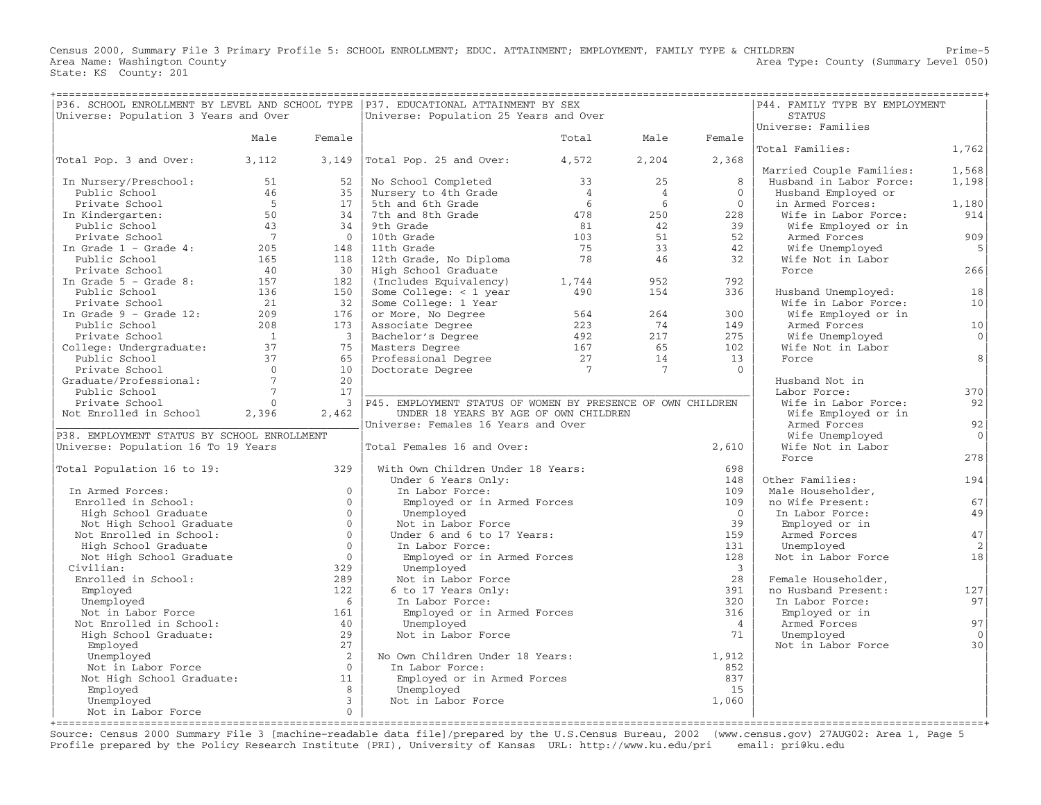Census 2000, Summary File 3 Primary Profile 5: SCHOOL ENROLLMENT; EDUC. ATTAINMENT; EMPLOYMENT, FAMILY TYPE & CHILDREN Prime−5 Area Name: Washington County (Summary Level 050) (Area Type: County (Summary Level 050) State: KS County: 201

| =====================================<br>P36. SCHOOL ENROLLMENT BY LEVEL AND SCHOOL TYPE   P37. EDUCATIONAL ATTAINMENT BY SEX<br>Universe: Population 3 Years and Over |                       |                                | Universe: Population 25 Years and Over                      | ============   |                |                         | =================<br>P44. FAMILY TYPE BY EMPLOYMENT<br>STATUS |                    |
|------------------------------------------------------------------------------------------------------------------------------------------------------------------------|-----------------------|--------------------------------|-------------------------------------------------------------|----------------|----------------|-------------------------|---------------------------------------------------------------|--------------------|
|                                                                                                                                                                        |                       |                                |                                                             |                |                |                         | Universe: Families                                            |                    |
|                                                                                                                                                                        | Male                  | Female                         |                                                             | Total          | Male           | Female                  |                                                               |                    |
|                                                                                                                                                                        |                       |                                |                                                             |                |                |                         | Total Families:                                               | 1,762              |
| Total Pop. 3 and Over:                                                                                                                                                 | 3,112                 | 3,149                          | Total Pop. 25 and Over:                                     | 4,572          | 2,204          | 2,368                   |                                                               |                    |
|                                                                                                                                                                        |                       |                                |                                                             |                |                |                         | Married Couple Families:                                      | 1,568              |
| In Nursery/Preschool:                                                                                                                                                  | 51                    | 52                             | No School Completed                                         | 33             | 25             | 8                       | Husband in Labor Force:                                       | 1,198              |
| Public School                                                                                                                                                          | 46                    | 35                             | Nursery to 4th Grade                                        | $\overline{4}$ | $\overline{4}$ | $\Omega$                | Husband Employed or                                           |                    |
| Private School                                                                                                                                                         | $5^{\circ}$           | 17                             | 5th and 6th Grade                                           | 6              | 6              | $\Omega$                | in Armed Forces:                                              | 1,180              |
| In Kindergarten:                                                                                                                                                       | 50                    | 34                             | 7th and 8th Grade                                           | 478            | 250            | 228                     | Wife in Labor Force:                                          | 914                |
| Public School                                                                                                                                                          | 43                    | 34                             | 9th Grade                                                   | 81             | 42             | 39                      | Wife Employed or in                                           |                    |
| Private School                                                                                                                                                         | $\overline{7}$        | $\overline{0}$                 | 10th Grade                                                  | 103            | 51             | 52                      | Armed Forces                                                  | 909                |
| In Grade $1$ - Grade $4$ :                                                                                                                                             | 205                   | 148                            | 11th Grade                                                  | 75             | 33             | 42                      | Wife Unemployed                                               | 5                  |
| Public School                                                                                                                                                          | 165                   | 118                            | 12th Grade, No Diploma                                      | 78             | 46             | 32                      | Wife Not in Labor                                             |                    |
| Private School                                                                                                                                                         | 40                    | 30                             | High School Graduate                                        |                |                |                         | Force                                                         | 266                |
| In Grade $5$ - Grade $8$ :                                                                                                                                             | 157                   | 182                            | (Includes Equivalency)                                      | 1,744          | 952            | 792                     |                                                               |                    |
| Public School                                                                                                                                                          | 136                   | 150                            | Some College: $<$ 1 year                                    | 490            | 154            | 336                     | Husband Unemployed:                                           | 18                 |
| Private School                                                                                                                                                         | 21<br>209             | 32<br>176                      | Some College: 1 Year                                        | 564            | 264            | 300                     | Wife in Labor Force:                                          | 10                 |
| In Grade $9$ - Grade 12:                                                                                                                                               |                       |                                | or More, No Degree                                          |                | 74             |                         | Wife Employed or in                                           |                    |
| Public School                                                                                                                                                          | 208<br>$\overline{1}$ | 173<br>$\overline{\mathbf{3}}$ | Associate Degree                                            | 223<br>492     | 217            | 149                     | Armed Forces                                                  | 10<br>$\mathbf{0}$ |
| Private School                                                                                                                                                         | 37                    | 75                             | Bachelor's Degree                                           | 167            | 65             | 275<br>102              | Wife Unemployed                                               |                    |
| College: Undergraduate:<br>Public School                                                                                                                               | 37                    | 65                             | Masters Degree<br>Masters Dog-<br>Professional Degree       | 27             | 14             | 13                      | Wife Not in Labor<br>Force                                    | 8                  |
| Private School                                                                                                                                                         | $\overline{0}$        | 10 <sup>1</sup>                | Doctorate Degree                                            | $\overline{7}$ | $\overline{7}$ | $\Omega$                |                                                               |                    |
| Graduate/Professional:                                                                                                                                                 | $7\phantom{.0}$       | 20                             |                                                             |                |                |                         | Husband Not in                                                |                    |
| Public School                                                                                                                                                          | $7\phantom{.0}$       | 17                             |                                                             |                |                |                         | Labor Force:                                                  | 370                |
| Private School                                                                                                                                                         | $\Omega$              | $\overline{3}$                 | P45. EMPLOYMENT STATUS OF WOMEN BY PRESENCE OF OWN CHILDREN |                |                |                         | Wife in Labor Force:                                          | 92                 |
| Not Enrolled in School                                                                                                                                                 | 2,396                 | 2,462                          | UNDER 18 YEARS BY AGE OF OWN CHILDREN                       |                |                |                         | Wife Employed or in                                           |                    |
|                                                                                                                                                                        |                       |                                | Universe: Females 16 Years and Over                         |                |                |                         | Armed Forces                                                  | 92                 |
| P38. EMPLOYMENT STATUS BY SCHOOL ENROLLMENT                                                                                                                            |                       |                                |                                                             |                |                |                         | Wife Unemployed                                               | $\Omega$           |
| Universe: Population 16 To 19 Years                                                                                                                                    |                       |                                | Total Females 16 and Over:                                  |                |                | 2,610                   | Wife Not in Labor                                             |                    |
|                                                                                                                                                                        |                       |                                |                                                             |                |                |                         | Force                                                         | 278                |
| Total Population 16 to 19:                                                                                                                                             |                       | 329                            | With Own Children Under 18 Years:                           |                |                | 698                     |                                                               |                    |
|                                                                                                                                                                        |                       |                                | Under 6 Years Only:                                         |                |                | 148                     | Other Families:                                               | 194                |
| In Armed Forces:                                                                                                                                                       |                       | $\Omega$                       | In Labor Force:                                             |                |                | 109                     | Male Householder,                                             |                    |
| Enrolled in School:                                                                                                                                                    |                       | $\mathbf{0}$                   | Employed or in Armed Forces                                 |                |                | 109                     | no Wife Present:                                              | 67                 |
| High School Graduate                                                                                                                                                   |                       | $\circ$                        | Unemployed                                                  |                |                | $\bigcap$               | In Labor Force:                                               | 49                 |
| Not High School Graduate                                                                                                                                               |                       | $\circ$                        | Not in Labor Force                                          |                |                | 39                      | Employed or in                                                |                    |
| Not Enrolled in School:                                                                                                                                                |                       | $\circ$                        | Under 6 and 6 to 17 Years:                                  |                |                | 159                     | Armed Forces                                                  | 47                 |
| High School Graduate                                                                                                                                                   |                       | $\Omega$                       | In Labor Force:                                             |                |                | 131                     | Unemployed                                                    | 2                  |
| Not High School Graduate                                                                                                                                               |                       | $\mathbf 0$                    | Employed or in Armed Forces                                 |                |                | 128                     | Not in Labor Force                                            | 18                 |
| Civilian:                                                                                                                                                              |                       | 329                            | Unemployed                                                  |                |                | $\overline{\mathbf{3}}$ |                                                               |                    |
| Enrolled in School:                                                                                                                                                    |                       | 289                            | Not in Labor Force                                          |                |                | 28                      | Female Householder,                                           |                    |
| Employed                                                                                                                                                               |                       | 122                            | 6 to 17 Years Only:                                         |                |                | 391                     | no Husband Present:                                           | 127                |
| Unemployed                                                                                                                                                             |                       | 6                              | In Labor Force:                                             |                |                | 320                     | In Labor Force:                                               | 97                 |
| Not in Labor Force                                                                                                                                                     |                       | 161                            | Employed or in Armed Forces                                 |                |                | 316                     | Employed or in                                                |                    |
| Not Enrolled in School:                                                                                                                                                |                       | 40                             | Unemployed                                                  |                |                | $\overline{4}$          | Armed Forces                                                  | 97                 |
| High School Graduate:                                                                                                                                                  |                       | 29                             | Not in Labor Force                                          |                |                | 71                      | Unemployed                                                    | $\Omega$           |
| Employed                                                                                                                                                               |                       | 27                             |                                                             |                |                |                         | Not in Labor Force                                            | 30                 |
| Unemployed                                                                                                                                                             |                       | <sup>2</sup>                   | No Own Children Under 18 Years:                             |                |                | 1,912                   |                                                               |                    |
| Not in Labor Force                                                                                                                                                     |                       | $\Omega$                       | In Labor Force:                                             |                |                | 852                     |                                                               |                    |
| Not High School Graduate:                                                                                                                                              |                       | 11                             | Employed or in Armed Forces                                 |                |                | 837                     |                                                               |                    |
| Employed                                                                                                                                                               |                       | 8<br>$\overline{3}$            | Unemployed<br>Not in Labor Force                            |                |                | 15<br>1,060             |                                                               |                    |
| Unemployed                                                                                                                                                             |                       | $\circ$                        |                                                             |                |                |                         |                                                               |                    |
| Not in Labor Force                                                                                                                                                     |                       |                                |                                                             |                |                |                         |                                                               |                    |

+===================================================================================================================================================+ Source: Census 2000 Summary File 3 [machine−readable data file]/prepared by the U.S.Census Bureau, 2002 (www.census.gov) 27AUG02: Area 1, Page 5 Profile prepared by the Policy Research Institute (PRI), University of Kansas URL: http://www.ku.edu/pri email: pri@ku.edu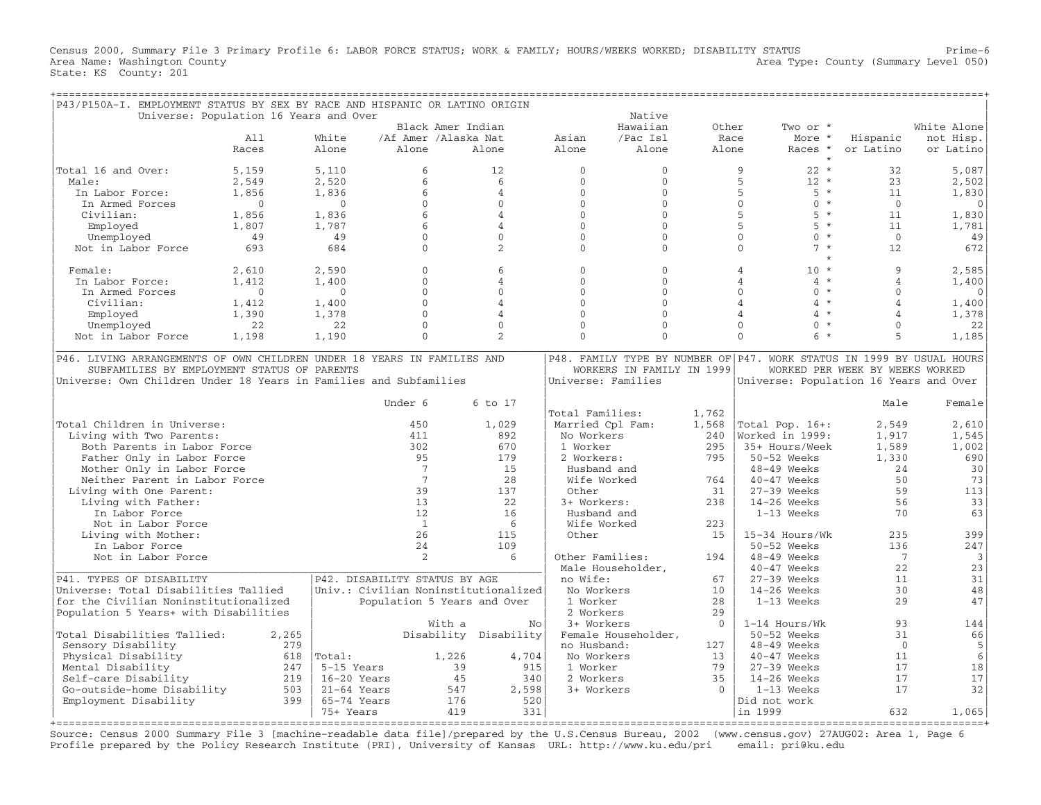Census 2000, Summary File 3 Primary Profile 6: LABOR FORCE STATUS; WORK & FAMILY; HOURS/WEEKS WORKED; DISABILITY STATUS Prime−6 Area Name: Washington County  $\blacksquare$  Area Type: County (Summary Level 050) State: KS County: 201

| P43/P150A-I. EMPLOYMENT STATUS BY SEX BY RACE AND HISPANIC OR LATINO ORIGIN |                                        |                                      |                             |                       |                     |                           |              |                                                                       |                                 |              |
|-----------------------------------------------------------------------------|----------------------------------------|--------------------------------------|-----------------------------|-----------------------|---------------------|---------------------------|--------------|-----------------------------------------------------------------------|---------------------------------|--------------|
|                                                                             | Universe: Population 16 Years and Over |                                      |                             |                       |                     | Native                    |              |                                                                       |                                 |              |
|                                                                             |                                        |                                      | Black Amer Indian           |                       |                     | Hawaiian                  | Other        | Two or *                                                              |                                 | White Alone  |
|                                                                             | All                                    | White                                | /Af Amer /Alaska Nat        |                       | Asian               | /Pac Isl                  | Race         | More *                                                                | Hispanic                        | not Hisp.    |
|                                                                             | Races                                  | Alone                                | Alone                       | Alone                 | Alone               | Alone                     | Alone        | Races *                                                               | or Latino                       | or Latino    |
|                                                                             |                                        |                                      |                             |                       |                     |                           |              | $\star$                                                               |                                 |              |
| Total 16 and Over:                                                          | 5,159                                  | 5,110                                | 6                           | 12                    | $\Omega$            | $\mathbf 0$               |              | $22 *$<br>9                                                           | 32                              | 5,087        |
| Male:                                                                       | 2,549                                  | 2,520                                | 6                           | 6                     | $\Omega$            | $\mathbf{0}$              |              | 5<br>$12 *$                                                           | 23                              | 2,502        |
| In Labor Force:                                                             | 1,856                                  | 1,836                                | 6                           | $\overline{4}$        | $\Omega$            | $\Omega$                  |              | 5<br>$5 *$                                                            | 11                              | 1,830        |
| In Armed Forces                                                             | $\Omega$                               | $\Omega$                             | $\Omega$                    | $\Omega$              | $\Omega$            | $\Omega$                  |              | $\mathbf{0}$<br>$0 *$                                                 | $\Omega$                        | $\Omega$     |
| Civilian:                                                                   | 1,856                                  | 1,836                                | 6                           | $\overline{4}$        | $\Omega$            | $\Omega$                  |              | 5<br>$5 *$                                                            | 11                              | 1,830        |
| Employed                                                                    | 1,807                                  | 1,787                                | 6                           | $\overline{4}$        | $\Omega$            | $\mathbf{0}$              |              | 5<br>$5 *$                                                            | 11                              | 1,781        |
| Unemployed                                                                  | 49                                     | 49                                   | $\Omega$                    | $\Omega$              | $\Omega$            | $\Omega$                  |              | $\Omega$<br>$0 *$                                                     | $\Omega$                        | 49           |
| Not in Labor Force                                                          | 693                                    | 684                                  | $\Omega$                    | 2                     | $\Omega$            | $\Omega$                  |              | $7 *$<br>$\Omega$                                                     | 12                              | 672          |
|                                                                             |                                        |                                      |                             |                       |                     |                           |              |                                                                       |                                 |              |
| Female:                                                                     | 2,610                                  | 2,590                                | $\Omega$                    | 6                     | $\Omega$            | $\Omega$                  |              | $10 *$<br>$\overline{4}$                                              | 9                               | 2,585        |
| In Labor Force:                                                             | 1,412                                  | 1,400                                | $\Omega$                    | $\overline{4}$        | $\Omega$            | $\Omega$                  |              | $\star$<br>$\overline{A}$<br>$\overline{4}$                           | $\overline{4}$                  | 1,400        |
| In Armed Forces                                                             | $\mathbf{0}$                           | $\mathbf{0}$                         | $\mathbf 0$                 | $\Omega$              | $\Omega$            | $\mathbf{0}$              |              | $\Omega$<br>$\Omega$<br>$^{\star}$                                    | $\Omega$                        | $\mathbf{0}$ |
| Civilian:                                                                   | 1,412                                  | 1,400                                | $\Omega$                    | $\overline{4}$        | $\Omega$            | $\Omega$                  |              | $\star$<br>$\overline{A}$<br>$\overline{4}$                           | $\overline{4}$                  | 1,400        |
| Employed                                                                    | 1,390                                  | 1,378                                | $\Omega$                    | $\overline{4}$        | $\Omega$            | $\Omega$                  |              | $\overline{4}$<br>$\star$<br>$\overline{A}$                           | $\overline{4}$                  | 1,378        |
|                                                                             |                                        |                                      | $\mathbf 0$                 | $\Omega$              | $\Omega$            | $\mathbf 0$               |              | $\Omega$<br>$\Omega$<br>$\star$                                       | $\Omega$                        |              |
| Unemployed                                                                  | 22                                     | 22                                   |                             |                       |                     |                           |              |                                                                       |                                 | 22           |
| Not in Labor Force                                                          | 1,198                                  | 1,190                                | $\Omega$                    | $\overline{a}$        | $\Omega$            | $\Omega$                  |              | $\Omega$<br>$6 *$                                                     | 5                               | 1,185        |
| P46. LIVING ARRANGEMENTS OF OWN CHILDREN UNDER 18 YEARS IN FAMILIES AND     |                                        |                                      |                             |                       |                     |                           |              | P48. FAMILY TYPE BY NUMBER OF P47. WORK STATUS IN 1999 BY USUAL HOURS |                                 |              |
| SUBFAMILIES BY EMPLOYMENT STATUS OF PARENTS                                 |                                        |                                      |                             |                       |                     | WORKERS IN FAMILY IN 1999 |              |                                                                       | WORKED PER WEEK BY WEEKS WORKED |              |
| Universe: Own Children Under 18 Years in Families and Subfamilies           |                                        |                                      |                             |                       | Universe: Families  |                           |              | Universe: Population 16 Years and Over                                |                                 |              |
|                                                                             |                                        |                                      |                             |                       |                     |                           |              |                                                                       |                                 |              |
|                                                                             |                                        |                                      | Under 6                     | $6 \text{ to } 17$    |                     |                           |              |                                                                       | Male                            | Female       |
|                                                                             |                                        |                                      |                             |                       | Total Families:     |                           | 1,762        |                                                                       |                                 |              |
| Total Children in Universe:                                                 |                                        |                                      | 450                         | 1,029                 | Married Cpl Fam:    |                           | 1,568        | Total Pop. 16+:                                                       | 2,549                           | 2,610        |
| Living with Two Parents:                                                    |                                        |                                      | 411                         | 892                   | No Workers          |                           | 2.40         | Worked in 1999:                                                       | 1,917                           | 1,545        |
|                                                                             |                                        |                                      | 302                         | 670                   | 1 Worker            |                           | 295          |                                                                       | 1,589                           |              |
| Both Parents in Labor Force                                                 |                                        |                                      |                             |                       |                     |                           |              | 35+ Hours/Week                                                        |                                 | 1,002        |
| Father Only in Labor Force                                                  |                                        |                                      | 95                          | 179                   | 2 Workers:          |                           | 795          | 50-52 Weeks                                                           | 1,330                           | 690          |
| Mother Only in Labor Force                                                  |                                        |                                      | $7\overline{ }$             | 15                    | Husband and         |                           |              | $48-49$ Weeks                                                         | 24                              | 30           |
| Neither Parent in Labor Force                                               |                                        |                                      | 7                           | 28                    | Wife Worked         |                           | 764          | 40-47 Weeks                                                           | 50                              | 73           |
| Living with One Parent:                                                     |                                        |                                      | 39                          | 137                   | Other               |                           | 31           | $27-39$ Weeks                                                         | 59                              | 113          |
| Living with Father:                                                         |                                        |                                      | 13                          | 22                    | 3+ Workers:         |                           | 238          | $14-26$ Weeks                                                         | 56                              | 33           |
| In Labor Force                                                              |                                        |                                      | 12                          | 16                    | Husband and         |                           |              | 1-13 Weeks                                                            | 70                              | 63           |
| Not in Labor Force                                                          |                                        |                                      | $\overline{1}$              | $6\overline{6}$       | Wife Worked         |                           | 223          |                                                                       |                                 |              |
| Living with Mother:                                                         |                                        |                                      | 26                          | 115                   | Other               |                           | 15           | 15-34 Hours/Wk                                                        | 235                             | 399          |
| In Labor Force                                                              |                                        |                                      | 24                          | 109                   |                     |                           |              | 50-52 Weeks                                                           | 136                             | 247          |
| Not in Labor Force                                                          |                                        |                                      | $\mathfrak{D}$              | 6                     | Other Families:     |                           | 194          | $48-49$ Weeks                                                         | $7\phantom{.0}$                 | 3            |
|                                                                             |                                        |                                      |                             |                       | Male Householder,   |                           |              | 40-47 Weeks                                                           | 22                              | 23           |
| P41. TYPES OF DISABILITY                                                    |                                        | P42. DISABILITY STATUS BY AGE        |                             |                       | no Wife:            |                           | 67           | 27-39 Weeks                                                           | 11                              | 31           |
| Universe: Total Disabilities Tallied                                        |                                        | Univ.: Civilian Noninstitutionalized |                             |                       | No Workers          |                           | 10           | $14-26$ Weeks                                                         | 30                              | 48           |
|                                                                             |                                        |                                      |                             |                       |                     |                           |              |                                                                       |                                 |              |
| for the Civilian Noninstitutionalized                                       |                                        |                                      | Population 5 Years and Over |                       | 1 Worker            |                           | 2.8          | 1-13 Weeks                                                            | 29                              | 47           |
| Population 5 Years+ with Disabilities                                       |                                        |                                      |                             |                       | 2 Workers           |                           | 29           |                                                                       |                                 |              |
|                                                                             |                                        |                                      | With a                      | No                    | 3+ Workers          |                           | $\mathbf{0}$ | $1-14$ Hours/Wk                                                       | 93                              | 144          |
| Total Disabilities Tallied:                                                 | 2,265                                  |                                      |                             | Disability Disability | Female Householder, |                           |              | $50-52$ Weeks                                                         | 31                              | 66           |
| Sensory Disability                                                          | 279                                    |                                      |                             |                       | no Husband:         |                           | 127          | 48-49 Weeks                                                           | $\mathbf{0}$                    | 5            |
| Physical Disability                                                         | 618                                    | Total:                               | 1,226                       | 4,704                 | No Workers          |                           | 13           | 40-47 Weeks                                                           | 11                              | 6            |
| Mental Disability                                                           | 247                                    | 5-15 Years                           | 39                          | 915                   | 1 Worker            |                           | 79           | 27-39 Weeks                                                           | 17                              | 18           |
| Self-care Disability                                                        | 219                                    | $16-20$ Years                        | 45                          | 340                   | 2 Workers           |                           | 35           | $14-26$ Weeks                                                         | 17                              | 17           |
| Go-outside-home Disability                                                  | 503                                    | $21-64$ Years                        | 547                         | 2,598                 | 3+ Workers          |                           | $\Omega$     | 1-13 Weeks                                                            | 17                              | 32           |
| Employment Disability                                                       | 399                                    | $65-74$ Years                        | 176                         | 520                   |                     |                           |              | Did not work                                                          |                                 |              |
|                                                                             |                                        | 75+ Years                            | 419                         | 331                   |                     |                           |              | in 1999                                                               | 632                             | 1,065        |
|                                                                             |                                        |                                      |                             |                       |                     |                           |              |                                                                       |                                 |              |

+===================================================================================================================================================+ Source: Census 2000 Summary File 3 [machine−readable data file]/prepared by the U.S.Census Bureau, 2002 (www.census.gov) 27AUG02: Area 1, Page 6 Profile prepared by the Policy Research Institute (PRI), University of Kansas URL: http://www.ku.edu/pri email: pri@ku.edu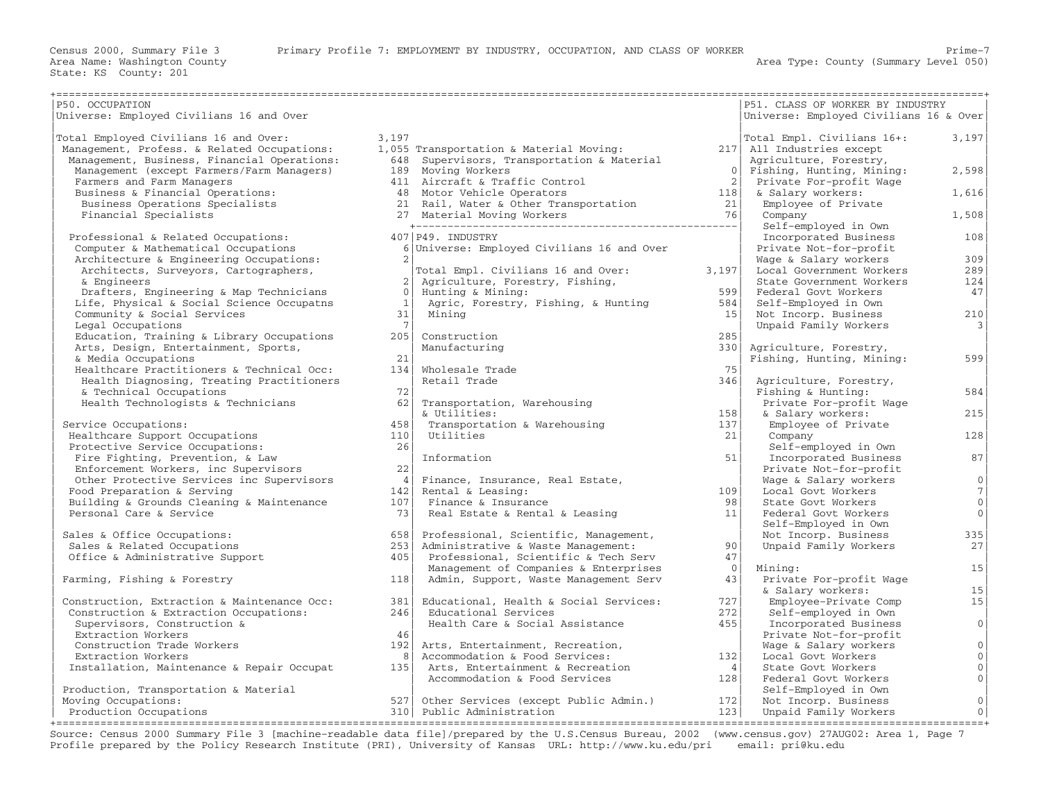| P50. OCCUPATION<br>Universe: Employed Civilians 16 and Over                |                |                                               |                                          | P51. CLASS OF WORKER BY INDUSTRY<br>Universe: Employed Civilians 16 & Over |                 |
|----------------------------------------------------------------------------|----------------|-----------------------------------------------|------------------------------------------|----------------------------------------------------------------------------|-----------------|
|                                                                            |                |                                               |                                          |                                                                            |                 |
| Total Employed Civilians 16 and Over:                                      | 3,197          |                                               |                                          | Total Empl. Civilians 16+:                                                 | 3,197           |
| Management, Profess. & Related Occupations:                                |                | 1,055 Transportation & Material Moving:       |                                          | 217 All Industries except                                                  |                 |
| Management, Business, Financial Operations:                                |                | 648 Supervisors, Transportation & Material    |                                          | Agriculture, Forestry,                                                     |                 |
| Management (except Farmers/Farm Managers)                                  |                | 189 Moving Workers                            | 0 <sup>1</sup>                           | Fishing, Hunting, Mining:                                                  | 2,598           |
| Farmers and Farm Managers                                                  |                | 411 Aircraft & Traffic Control                | 2                                        | Private For-profit Wage                                                    |                 |
| Business & Financial Operations:                                           |                | 48 Motor Vehicle Operators                    | $\begin{array}{c} 118 \\ 21 \end{array}$ | & Salary workers:                                                          | 1,616           |
| Business Operations Specialists                                            |                | 21 Rail, Water & Other Transportation         | 76                                       | Employee of Private                                                        |                 |
| Financial Specialists                                                      |                | 27 Material Moving Workers                    |                                          | Company                                                                    | 1,508           |
|                                                                            |                | 407 P49. INDUSTRY                             |                                          | Self-employed in Own                                                       |                 |
| Professional & Related Occupations:<br>Computer & Mathematical Occupations |                |                                               |                                          | Incorporated Business<br>Private Not-for-profit                            | 108             |
|                                                                            | 2 <sup>1</sup> | 6 Universe: Employed Civilians 16 and Over    |                                          |                                                                            | 309             |
| Architecture & Engineering Occupations:                                    |                |                                               |                                          | Wage & Salary workers                                                      |                 |
| Architects, Surveyors, Cartographers,<br>& Engineers                       |                | Total Empl. Civilians 16 and Over:            | 3,197                                    | Local Government Workers<br>State Government Workers                       | 289             |
|                                                                            | $\bigcirc$     | 2 Agriculture, Forestry, Fishing,             | 599                                      |                                                                            | 124             |
| Drafters, Engineering & Map Technicians                                    | 1              | Hunting & Mining:                             |                                          | Federal Govt Workers                                                       | 47              |
| Life, Physical & Social Science Occupatns                                  | 31             | Agric, Forestry, Fishing, & Hunting<br>Mining | 584<br>15 <sup>1</sup>                   | Self-Employed in Own                                                       | 210             |
| Community & Social Services                                                | 7 <sup>1</sup> |                                               |                                          | Not Incorp. Business                                                       |                 |
| Legal Occupations                                                          | 205            |                                               | 285                                      | Unpaid Family Workers                                                      | $\vert$ 3       |
| Education, Training & Library Occupations                                  |                | Construction                                  |                                          |                                                                            |                 |
| Arts, Design, Entertainment, Sports,                                       | 21             | Manufacturing                                 | 3301                                     | Agriculture, Forestry,                                                     | 599             |
| & Media Occupations                                                        | 134            | Wholesale Trade                               | 75                                       | Fishing, Hunting, Mining:                                                  |                 |
| Healthcare Practitioners & Technical Occ:                                  |                |                                               |                                          |                                                                            |                 |
| Health Diagnosing, Treating Practitioners                                  | 72             | Retail Trade                                  | 346                                      | Agriculture, Forestry,                                                     | 584             |
| & Technical Occupations                                                    |                |                                               |                                          | Fishing & Hunting:                                                         |                 |
| Health Technologists & Technicians                                         | 62             | Transportation, Warehousing                   |                                          | Private For-profit Wage                                                    |                 |
|                                                                            |                | & Utilities:                                  | 158                                      | & Salary workers:                                                          | 215             |
| Service Occupations:                                                       | 458            | Transportation & Warehousing                  | 137                                      | Employee of Private                                                        |                 |
| Healthcare Support Occupations                                             | 110            | Utilities                                     | 21                                       | Company                                                                    | 128             |
| Protective Service Occupations:                                            | 26             |                                               |                                          | Self-employed in Own                                                       |                 |
| Fire Fighting, Prevention, & Law                                           |                | Information                                   | 51                                       | Incorporated Business                                                      | 87              |
| Enforcement Workers, inc Supervisors                                       | 22             |                                               |                                          | Private Not-for-profit                                                     | 0 <sup>1</sup>  |
| Other Protective Services inc Supervisors                                  | 4              | Finance, Insurance, Real Estate,              |                                          | Wage & Salary workers                                                      |                 |
| Food Preparation & Serving                                                 | 142            | Rental & Leasing:                             | 109<br>98                                | Local Govt Workers                                                         | 7               |
| Building & Grounds Cleaning & Maintenance                                  | 107            | Finance & Insurance                           |                                          | State Govt Workers                                                         | 0 <sup>1</sup>  |
| Personal Care & Service                                                    | 73 I           | Real Estate & Rental & Leasing                | 11                                       | Federal Govt Workers                                                       | 0 <sup>1</sup>  |
|                                                                            |                |                                               |                                          | Self-Employed in Own                                                       |                 |
| Sales & Office Occupations:                                                | 658            | Professional, Scientific, Management,         | 90 <sup>1</sup>                          | Not Incorp. Business                                                       | 335             |
| Sales & Related Occupations                                                | 253            | Administrative & Waste Management:            |                                          | Unpaid Family Workers                                                      | 27              |
| Office & Administrative Support                                            | 405            | Professional, Scientific & Tech Serv          | 47                                       |                                                                            |                 |
|                                                                            |                | Management of Companies & Enterprises         | $\circ$                                  | Mining:                                                                    | 15              |
| Farming, Fishing & Forestry                                                | 118            | Admin, Support, Waste Management Serv         | 43                                       | Private For-profit Wage                                                    |                 |
|                                                                            |                |                                               |                                          | & Salary workers:                                                          | 15              |
| Construction, Extraction & Maintenance Occ:                                | 381            | Educational, Health & Social Services:        | 727                                      | Employee-Private Comp                                                      | 15 <sub>1</sub> |
| Construction & Extraction Occupations:                                     | 246            | Educational Services                          | 272                                      | Self-employed in Own                                                       |                 |
| Supervisors, Construction &                                                |                | Health Care & Social Assistance               | 455                                      | Incorporated Business                                                      | 0 <sup>1</sup>  |
| Extraction Workers                                                         | 46             |                                               |                                          | Private Not-for-profit                                                     |                 |
| Construction Trade Workers                                                 | 192            | Arts, Entertainment, Recreation,              |                                          | Wage & Salary workers                                                      | 0               |
| Extraction Workers                                                         | 8              | Accommodation & Food Services:                | 132                                      | Local Govt Workers                                                         | $\mathbb O$     |
| Installation, Maintenance & Repair Occupat                                 | 135            | Arts, Entertainment & Recreation              | 4                                        | State Govt Workers                                                         | $\circ$         |
|                                                                            |                | Accommodation & Food Services                 | 128                                      | Federal Govt Workers                                                       | $\overline{0}$  |
| Production, Transportation & Material                                      |                |                                               |                                          | Self-Employed in Own                                                       |                 |
| Moving Occupations:                                                        | 527            | Other Services (except Public Admin.)         | 172                                      | Not Incorp. Business                                                       | $\mathbb O$     |
| Production Occupations                                                     |                | 310 Public Administration                     | 123                                      | Unpaid Family Workers                                                      | $\circ$         |

+===================================================================================================================================================+ Source: Census 2000 Summary File 3 [machine−readable data file]/prepared by the U.S.Census Bureau, 2002 (www.census.gov) 27AUG02: Area 1, Page 7 Profile prepared by the Policy Research Institute (PRI), University of Kansas URL: http://www.ku.edu/pri email: pri@ku.edu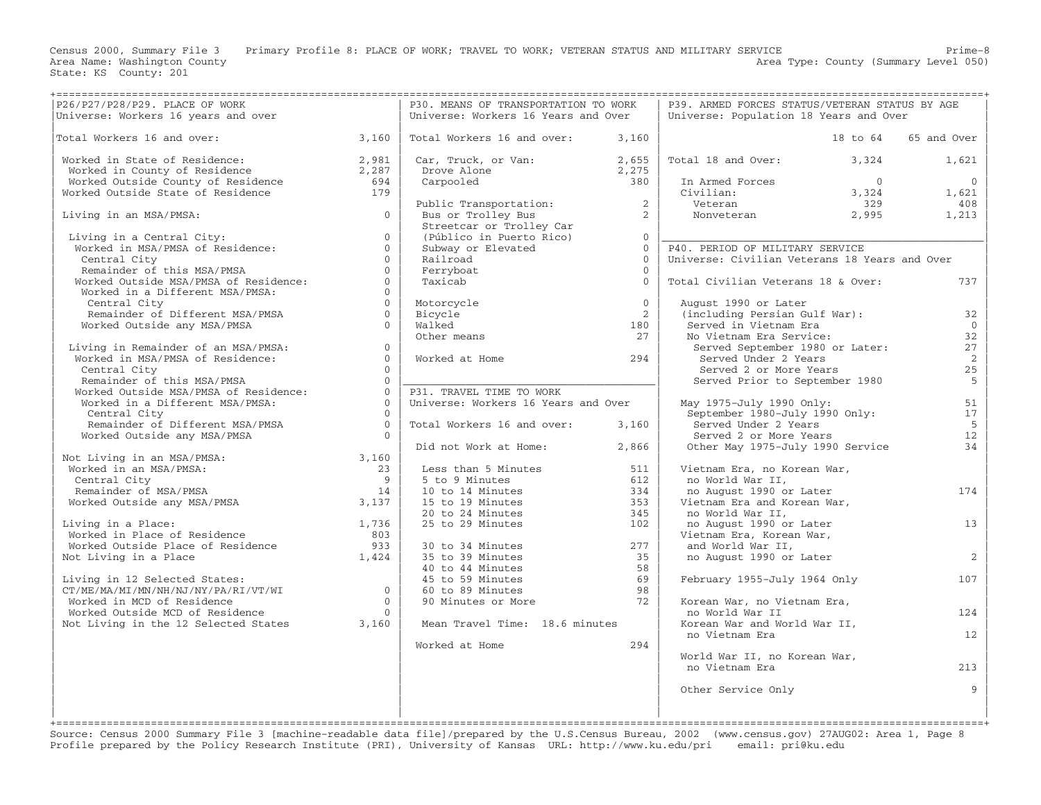Census 2000, Summary File 3 Primary Profile 8: PLACE OF WORK; TRAVEL TO WORK; VETERAN STATUS AND MILITARY SERVICE Prime-8<br>Area Name: Washington County Level 050) Area Type: County (Summary Level 050)

|                                                                                                                                                                                                              |                | P30. MEANS OF TRANSPORTATION TO WORK                                                                                                                |                | P39. ARMED FORCES STATUS/VETERAN STATUS BY AGE                                                                                                                                                                                                                                                              |                      |
|--------------------------------------------------------------------------------------------------------------------------------------------------------------------------------------------------------------|----------------|-----------------------------------------------------------------------------------------------------------------------------------------------------|----------------|-------------------------------------------------------------------------------------------------------------------------------------------------------------------------------------------------------------------------------------------------------------------------------------------------------------|----------------------|
|                                                                                                                                                                                                              |                | Universe: Workers 16 Years and Over                                                                                                                 |                | Universe: Population 18 Years and Over                                                                                                                                                                                                                                                                      |                      |
|                                                                                                                                                                                                              |                |                                                                                                                                                     |                |                                                                                                                                                                                                                                                                                                             |                      |
| Total Workers 16 and over: $3,160$                                                                                                                                                                           |                | Total Workers 16 and over: $3,160$                                                                                                                  |                |                                                                                                                                                                                                                                                                                                             | 18 to 64 65 and Over |
|                                                                                                                                                                                                              |                |                                                                                                                                                     |                |                                                                                                                                                                                                                                                                                                             |                      |
| Worked in State of Residence:<br>Worked in County of Residence<br>Worked Outside County of Residence<br>Worked Outside State of Residence<br>179                                                             |                |                                                                                                                                                     |                |                                                                                                                                                                                                                                                                                                             |                      |
|                                                                                                                                                                                                              |                | Car, Truck, or Van:<br>Drove Alone 2,275<br>Carpooled 380                                                                                           |                | Total 18 and Over: 3,324                                                                                                                                                                                                                                                                                    | 1,621                |
|                                                                                                                                                                                                              |                |                                                                                                                                                     |                |                                                                                                                                                                                                                                                                                                             |                      |
|                                                                                                                                                                                                              |                |                                                                                                                                                     |                |                                                                                                                                                                                                                                                                                                             |                      |
|                                                                                                                                                                                                              |                |                                                                                                                                                     |                |                                                                                                                                                                                                                                                                                                             |                      |
|                                                                                                                                                                                                              |                |                                                                                                                                                     |                |                                                                                                                                                                                                                                                                                                             |                      |
| $\overline{0}$                                                                                                                                                                                               |                |                                                                                                                                                     |                |                                                                                                                                                                                                                                                                                                             |                      |
| Living in an MSA/PMSA:                                                                                                                                                                                       |                |                                                                                                                                                     |                |                                                                                                                                                                                                                                                                                                             |                      |
|                                                                                                                                                                                                              |                |                                                                                                                                                     |                |                                                                                                                                                                                                                                                                                                             |                      |
|                                                                                                                                                                                                              |                |                                                                                                                                                     |                |                                                                                                                                                                                                                                                                                                             |                      |
|                                                                                                                                                                                                              |                |                                                                                                                                                     |                |                                                                                                                                                                                                                                                                                                             |                      |
| Diving in a Central City:<br>Worked in MSA/PMSA of Residence:<br>Central City<br>Remainder of this MSA/PMSA<br>Worked Outside MSA/PMSA of Residence:<br>Worked in a Different MSA/PMSA:<br>Contral City<br>0 |                |                                                                                                                                                     |                | Public Transportation:<br>Bus or Trolley Bus<br>Streetcar or Trolley Car<br>(Público in Puerto Rico)<br>Subway or Elevated<br>Railroad<br>Terryboat<br>Terryboat<br>Terryboat<br>Terryboat<br>Terryboat<br>Terryboat<br>Terryboat<br>Terryboat<br>Terryboa<br>Universe: Civilian Veterans 18 Years and Over |                      |
|                                                                                                                                                                                                              |                |                                                                                                                                                     |                |                                                                                                                                                                                                                                                                                                             |                      |
|                                                                                                                                                                                                              |                |                                                                                                                                                     |                | Total Civilian Veterans 18 & Over:                                                                                                                                                                                                                                                                          | 737                  |
|                                                                                                                                                                                                              |                |                                                                                                                                                     |                |                                                                                                                                                                                                                                                                                                             |                      |
|                                                                                                                                                                                                              |                |                                                                                                                                                     |                |                                                                                                                                                                                                                                                                                                             |                      |
|                                                                                                                                                                                                              |                |                                                                                                                                                     | $\overline{0}$ | August 1990 or Later                                                                                                                                                                                                                                                                                        |                      |
| Remainder of Different MSA/PMSA 0                                                                                                                                                                            |                |                                                                                                                                                     | $\overline{2}$ | (including Persian Gulf War): 32                                                                                                                                                                                                                                                                            |                      |
| Worked Outside any MSA/PMSA                                                                                                                                                                                  | $\Omega$       |                                                                                                                                                     | 180            | Served in Vietnam Era                                                                                                                                                                                                                                                                                       | $\overline{0}$       |
|                                                                                                                                                                                                              |                | Motorcycle<br>Bicycle<br>Walked<br>Other means                                                                                                      | 27             | No Vietnam Era Service:<br>Served September 1980 or Later:                                                                                                                                                                                                                                                  | 32                   |
|                                                                                                                                                                                                              |                |                                                                                                                                                     |                |                                                                                                                                                                                                                                                                                                             |                      |
|                                                                                                                                                                                                              |                |                                                                                                                                                     |                |                                                                                                                                                                                                                                                                                                             | 27                   |
|                                                                                                                                                                                                              |                | Worked at Home 294                                                                                                                                  |                | Served Under 2 Years                                                                                                                                                                                                                                                                                        | 2                    |
|                                                                                                                                                                                                              |                |                                                                                                                                                     |                |                                                                                                                                                                                                                                                                                                             | 25                   |
|                                                                                                                                                                                                              |                |                                                                                                                                                     |                | Served 2 or More Years<br>Served 2 or More Years<br>Served Prior to September 1980                                                                                                                                                                                                                          | $5^{\circ}$          |
|                                                                                                                                                                                                              |                | P31. TRAVEL TIME TO WORK                                                                                                                            |                |                                                                                                                                                                                                                                                                                                             |                      |
|                                                                                                                                                                                                              |                | Universe: Workers 16 Years and Over                                                                                                                 |                | May 1975-July 1990 Only:                                                                                                                                                                                                                                                                                    | 51                   |
| Central City<br>Remainder of this MSA/PMSA<br>Worked Outside MSA/PMSA of Residence:<br>Worked in a Different MSA/PMSA: 0<br>0<br>Central City                                                                | $\bigcirc$     |                                                                                                                                                     |                | May 1975-July 1990 Only: 51<br>September 1980-July 1990 Only: 17                                                                                                                                                                                                                                            |                      |
|                                                                                                                                                                                                              |                |                                                                                                                                                     |                |                                                                                                                                                                                                                                                                                                             |                      |
| Remainder of Different MSA/PMSA 0                                                                                                                                                                            |                | Total Workers 16 and over: 3,160                                                                                                                    |                | Served Under 2 Years                                                                                                                                                                                                                                                                                        | $5^{\circ}$          |
| Worked Outside any MSA/PMSA                                                                                                                                                                                  | $\overline{0}$ |                                                                                                                                                     |                |                                                                                                                                                                                                                                                                                                             | 12                   |
|                                                                                                                                                                                                              |                | Did not Work at Home: 2,866                                                                                                                         |                | Served 2 or More Years<br>Other May 1975-July 1990 Service                                                                                                                                                                                                                                                  | 34                   |
| Not Living in an MSA/PMSA:<br>Worked in an MSA/PMSA:<br>Central City<br>Remainder of MSA/PMSA and the set of MSA/PMSA and the MSA/PMSA and the Morked Outside any MSA/PMSA 3,137                             |                |                                                                                                                                                     |                |                                                                                                                                                                                                                                                                                                             |                      |
|                                                                                                                                                                                                              |                | Less than 5 Minutes<br>5 to 9 Minutes<br>10 to 14 Minutes<br>15 to 19 Minutes<br>20 to 24 Minutes<br>25 to 29 Minutes<br>25 to 29 Minutes<br>20 102 |                | Vietnam Era, no Korean War,                                                                                                                                                                                                                                                                                 |                      |
|                                                                                                                                                                                                              |                |                                                                                                                                                     |                | no World War II,                                                                                                                                                                                                                                                                                            |                      |
|                                                                                                                                                                                                              |                |                                                                                                                                                     |                |                                                                                                                                                                                                                                                                                                             |                      |
|                                                                                                                                                                                                              |                |                                                                                                                                                     |                | no August 1990 or Later                                                                                                                                                                                                                                                                                     | 174                  |
|                                                                                                                                                                                                              |                |                                                                                                                                                     |                | Vietnam Era and Korean War,                                                                                                                                                                                                                                                                                 |                      |
|                                                                                                                                                                                                              |                |                                                                                                                                                     |                | no World War II,                                                                                                                                                                                                                                                                                            |                      |
|                                                                                                                                                                                                              |                |                                                                                                                                                     |                | no August 1990 or Later<br>Vietnam Era, Korean War,                                                                                                                                                                                                                                                         | 13                   |
|                                                                                                                                                                                                              |                |                                                                                                                                                     |                |                                                                                                                                                                                                                                                                                                             |                      |
| Living in a Place:<br>Worked in Place of Residence and the set of Residence and the set of Residence and the set of Residence and the set of Residence and the set of Residence and the set of $1,424$       |                | 30 to 34 Minutes<br>35 to 39 Minutes<br>40 to 44 Minutes<br>45 to 59 Minutes<br>60 to 89 Minutes<br>90 Minutes or More<br>90 Minutes or More<br>72  |                | and World War II,                                                                                                                                                                                                                                                                                           |                      |
|                                                                                                                                                                                                              |                |                                                                                                                                                     |                | no August 1990 or Later                                                                                                                                                                                                                                                                                     | 2                    |
|                                                                                                                                                                                                              |                |                                                                                                                                                     |                |                                                                                                                                                                                                                                                                                                             |                      |
|                                                                                                                                                                                                              |                |                                                                                                                                                     |                |                                                                                                                                                                                                                                                                                                             |                      |
|                                                                                                                                                                                                              |                |                                                                                                                                                     |                | February 1955-July 1964 Only                                                                                                                                                                                                                                                                                | 107                  |
|                                                                                                                                                                                                              |                | 60 to 89 Minutes                                                                                                                                    |                |                                                                                                                                                                                                                                                                                                             |                      |
|                                                                                                                                                                                                              |                |                                                                                                                                                     |                | Korean War, no Vietnam Era,                                                                                                                                                                                                                                                                                 |                      |
|                                                                                                                                                                                                              |                |                                                                                                                                                     |                | no World War II                                                                                                                                                                                                                                                                                             | 124                  |
| Living in 12 Selected States:<br>CT/ME/MA/MI/MN/NH/NJ/NY/PA/RI/VT/WI<br>Worked in MCD of Residence<br>Worked Outside MCD of Residence<br>Not Living in the 12 Selected States<br>3,160                       |                | Mean Travel Time: 18.6 minutes                                                                                                                      |                | Korean War and World War II,                                                                                                                                                                                                                                                                                |                      |
|                                                                                                                                                                                                              |                |                                                                                                                                                     |                |                                                                                                                                                                                                                                                                                                             |                      |
|                                                                                                                                                                                                              |                |                                                                                                                                                     |                | no Vietnam Era                                                                                                                                                                                                                                                                                              | 12                   |
|                                                                                                                                                                                                              |                | Worked at Home                                                                                                                                      | 294            |                                                                                                                                                                                                                                                                                                             |                      |
|                                                                                                                                                                                                              |                |                                                                                                                                                     |                | World War II, no Korean War,                                                                                                                                                                                                                                                                                |                      |
|                                                                                                                                                                                                              |                |                                                                                                                                                     |                | no Vietnam Era                                                                                                                                                                                                                                                                                              | 213                  |
|                                                                                                                                                                                                              |                |                                                                                                                                                     |                |                                                                                                                                                                                                                                                                                                             |                      |
|                                                                                                                                                                                                              |                |                                                                                                                                                     |                | Other Service Only                                                                                                                                                                                                                                                                                          | 9                    |
|                                                                                                                                                                                                              |                |                                                                                                                                                     |                |                                                                                                                                                                                                                                                                                                             |                      |
|                                                                                                                                                                                                              |                |                                                                                                                                                     |                |                                                                                                                                                                                                                                                                                                             |                      |
|                                                                                                                                                                                                              |                |                                                                                                                                                     |                |                                                                                                                                                                                                                                                                                                             |                      |

+===================================================================================================================================================+ Source: Census 2000 Summary File 3 [machine−readable data file]/prepared by the U.S.Census Bureau, 2002 (www.census.gov) 27AUG02: Area 1, Page 8 Profile prepared by the Policy Research Institute (PRI), University of Kansas URL: http://www.ku.edu/pri email: pri@ku.edu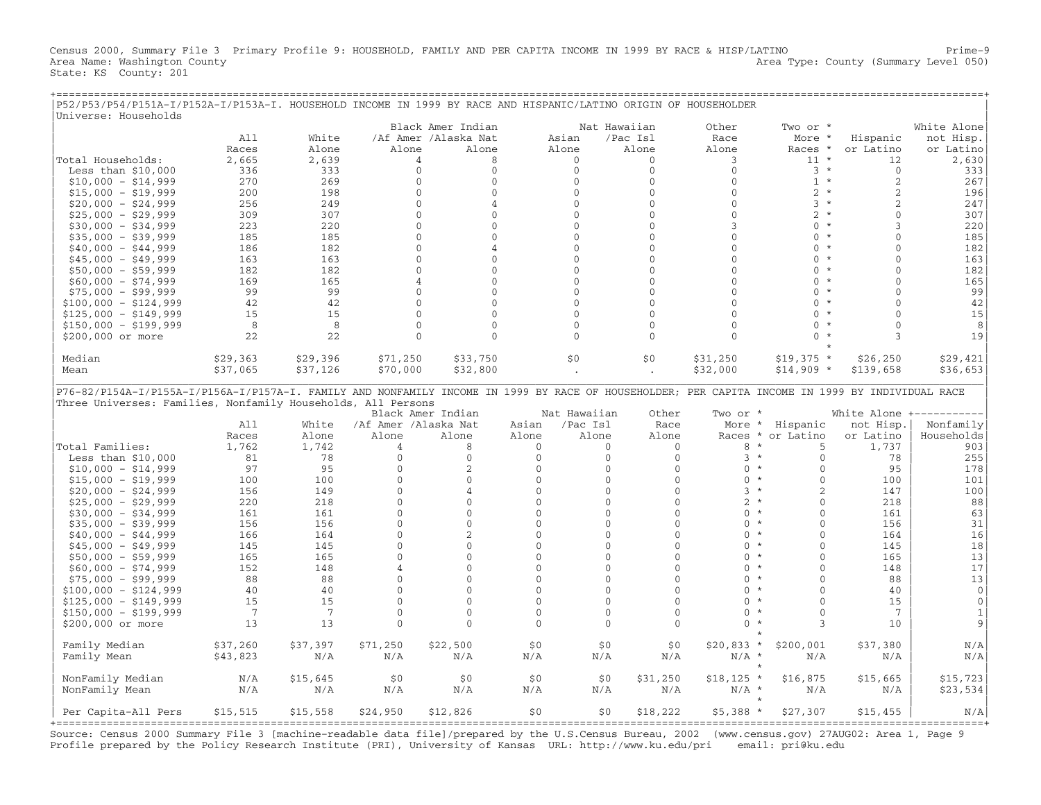Census 2000, Summary File 3 Primary Profile 9: HOUSEHOLD, FAMILY AND PER CAPITA INCOME IN 1999 BY RACE & HISP/LATINO Prime−9 Area Name: Washington County 1999 and County Area Type: County (Summary Level 050) State: KS County: 201

| P52/P53/P54/P151A-I/P152A-I/P153A-I. HOUSEHOLD INCOME IN 1999 BY RACE AND HISPANIC/LATINO ORIGIN OF HOUSEHOLDER<br>Universe: Households          |                |          |                      |                      |              |              |              |                           |                     |                |              |
|--------------------------------------------------------------------------------------------------------------------------------------------------|----------------|----------|----------------------|----------------------|--------------|--------------|--------------|---------------------------|---------------------|----------------|--------------|
|                                                                                                                                                  |                |          |                      | Black Amer Indian    |              | Nat Hawaiian |              |                           |                     |                |              |
|                                                                                                                                                  |                |          |                      |                      |              |              |              | Other                     | Two or *            |                | White Alone  |
|                                                                                                                                                  | A11            | White    |                      | /Af Amer /Alaska Nat | Asian        |              | /Pac Isl     | Race                      | More *              | Hispanic       | not Hisp.    |
|                                                                                                                                                  | Races          | Alone    | Alone                | Alone                | Alone        |              | Alone        | Alone                     | Races *             | or Latino      | or Latino    |
| Total Households:                                                                                                                                | 2,665          | 2,639    | 4                    | 8                    |              | $\Omega$     | $\Omega$     | 3                         | $11 *$              | 12             | 2,630        |
| Less than $$10,000$                                                                                                                              | 336            | 333      | $\mathbf 0$          | $\mathbf 0$          |              | $\mathbf{0}$ | $\mathbf{0}$ | $\mathbf 0$               | $3 *$               | $\overline{0}$ | 333          |
| $$10,000 - $14,999$                                                                                                                              | 270            | 269      | $\mathbf{0}$         | $\mathbf{0}$         |              | $\mathbf{0}$ | $\mathbf{0}$ | $\mathbf{0}$              | $1 *$               | 2              | 267          |
| $$15,000 - $19,999$                                                                                                                              | 200            | 198      | $\mathbf{0}$         | $\mathbf{0}$         |              | $\mathbf{0}$ | $\Omega$     | $\mathbf{0}$              | $2 *$               | $\overline{c}$ | 196          |
| $$20,000 - $24,999$                                                                                                                              | 256            | 249      | $\Omega$             | 4                    |              | $\Omega$     | $\Omega$     | $\Omega$                  | $3 *$               | $\overline{c}$ | 247          |
| $$25,000 - $29,999$                                                                                                                              | 309            | 307      | $\Omega$             | $\Omega$             |              | $\Omega$     | $\Omega$     | $\Omega$                  | $2 *$               | $\cap$         | 307          |
| $$30,000 - $34,999$                                                                                                                              | 223            | 220      | $\mathbf{0}$         | $\mathbf{0}$         |              | $\mathbf{0}$ | $\mathbf{0}$ | 3                         | $\Omega$<br>$\star$ | $\mathcal{R}$  | 220          |
| $$35,000 - $39,999$                                                                                                                              | 185            | 185      | $\mathbf{0}$         | $\mathbf{0}$         |              | $\mathbf{0}$ | $\Omega$     | $\mathbf{0}$              | $0 *$               | $\Omega$       | 185          |
| $$40,000 - $44,999$                                                                                                                              | 186            | 182      | $\Omega$             | 4                    |              | $\Omega$     | $\Omega$     | $\Omega$                  | $\Omega$<br>$\star$ | $\Omega$       | 182          |
|                                                                                                                                                  | 163            | 163      | $\mathbf{0}$         | $\mathbf{0}$         |              | $\mathbf{0}$ | $\mathbf{0}$ | $\mathbf{0}$              | $\Omega$<br>$\star$ | $\cap$         |              |
| $$45,000 - $49,999$                                                                                                                              |                |          |                      |                      |              |              |              |                           | $\star$             |                | 163          |
| $$50,000 - $59,999$                                                                                                                              | 182            | 182      | $\mathbf{0}$         | $\mathbf{0}$         |              | $\mathbf{0}$ | $\Omega$     | $\Omega$                  | $\Omega$            | $\Omega$       | 182          |
| $$60,000 - $74,999$                                                                                                                              | 169            | 165      | 4                    | $\Omega$             |              | $\Omega$     | $\Omega$     | $\Omega$                  | $\Omega$<br>$\star$ | $\cap$         | 165          |
| $$75,000 - $99,999$                                                                                                                              | 99             | 99       | $\Omega$             | $\mathbf{0}$         |              | $\Omega$     | $\Omega$     | $\Omega$                  | $\star$<br>$\Omega$ | $\Omega$       | 99           |
| $$100,000 - $124,999$                                                                                                                            | 42             | 42       | $\Omega$             | $\Omega$             |              | $\Omega$     | $\Omega$     | $\Omega$                  | $\Omega$<br>$\star$ | $\cap$         | 42           |
| $$125,000 - $149,999$                                                                                                                            | 15             | 15       | $\mathbf{0}$         | $\mathbf{0}$         |              | $\mathbf{0}$ | $\mathbf{0}$ | $\mathbf{0}$              | $\Omega$            | $\Omega$       | 15           |
| $$150,000 - $199,999$                                                                                                                            | 8              | 8        | $\Omega$             | $\Omega$             |              | $\Omega$     | $\Omega$     | $\Omega$                  | $\Omega$<br>$\star$ | $\Omega$       | 8            |
| \$200,000 or more                                                                                                                                | 22             | 22       | $\mathbf{0}$         | $\mathbf{0}$         |              | $\mathbf{0}$ | $\mathbf{0}$ | $\mathbf{0}$              | $\Omega$<br>$\star$ | 3              | 19           |
|                                                                                                                                                  |                |          |                      |                      |              |              |              |                           |                     |                |              |
| Median                                                                                                                                           | \$29,363       | \$29,396 | \$71,250             | \$33,750             |              | \$0          | \$0          | \$31,250                  | $$19,375$ *         | \$26, 250      | \$29,421     |
| Mean                                                                                                                                             | \$37,065       | \$37,126 | \$70,000             | \$32,800             |              |              |              | \$32,000                  |                     | \$139,658      | \$36,653     |
|                                                                                                                                                  |                |          |                      |                      |              |              |              |                           | $$14,909$ *         |                |              |
|                                                                                                                                                  |                |          |                      |                      |              |              |              |                           |                     |                |              |
| P76-82/P154A-I/P155A-I/P156A-I/P157A-I. FAMILY AND NONFAMILY INCOME IN 1999 BY RACE OF HOUSEHOLDER; PER CAPITA INCOME IN 1999 BY INDIVIDUAL RACE |                |          |                      |                      |              |              |              |                           |                     |                |              |
| Three Universes: Families, Nonfamily Households, All Persons                                                                                     |                |          |                      |                      |              |              |              |                           |                     |                |              |
|                                                                                                                                                  |                |          |                      |                      |              |              |              |                           |                     |                |              |
|                                                                                                                                                  |                |          |                      | Black Amer Indian    |              | Nat Hawaiian | Other        | Two or *                  |                     | White Alone +- |              |
|                                                                                                                                                  | A11            | White    | /Af Amer /Alaska Nat |                      | Asian        | /Pac Isl     | Race         |                           | More * Hispanic     | not Hisp.      | Nonfamily    |
|                                                                                                                                                  | Races          | Alone    | Alone                | Alone                | Alone        | Alone        | Alone        | Races *                   | or Latino           | or Latino      | Households   |
| Total Families:                                                                                                                                  | 1,762          | 1,742    | $\overline{4}$       | 8                    | $\Omega$     | $\mathbf{0}$ | $\Omega$     | 8<br>$\star$              | 5                   | 1,737          | 903          |
|                                                                                                                                                  | 81             | 78       | $\Omega$             | $\mathbf{0}$         | $\Omega$     | $\Omega$     | $\Omega$     | $3 *$                     | $\Omega$            | 78             |              |
| Less than $$10,000$                                                                                                                              |                |          |                      |                      |              | $\Omega$     |              | $\Omega$<br>$\star$       |                     |                | 255          |
| $$10,000 - $14,999$                                                                                                                              | 97             | 95       | $\mathbf{0}$         | 2                    | $\mathbf{0}$ |              | $\mathbf{0}$ | $\star$                   | $\mathbf{0}$        | 95             | 178          |
| $$15,000 - $19,999$                                                                                                                              | 100            | 100      | $\Omega$             | $\Omega$             | $\Omega$     | $\Omega$     | $\Omega$     | $\Omega$                  | $\Omega$            | 100            | 101          |
| $$20,000 - $24,999$                                                                                                                              | 156            | 149      | $\overline{0}$       | 4                    | $\mathbf{0}$ | $\mathbf{0}$ | $\mathbf{0}$ | $3 *$                     | 2                   | 147            | 100          |
| $$25,000 - $29,999$                                                                                                                              | 220            | 218      | $\Omega$             | $\Omega$             | $\Omega$     | $\Omega$     | $\Omega$     | $\overline{2}$<br>$\star$ | $\Omega$            | 218            | 88           |
| $$30,000 - $34,999$                                                                                                                              | 161            | 161      | $\mathbf{0}$         | $\mathbf{0}$         | $\mathbf{0}$ | $\mathbf{0}$ | $\mathbf{0}$ | $\Omega$<br>$\star$       | $\mathbf{0}$        | 161            | 63           |
| $$35,000 - $39,999$                                                                                                                              | 156            | 156      | $\overline{0}$       | $\mathbf{0}$         | $\mathbf{0}$ | $\Omega$     | $\Omega$     | $\star$<br>$\Omega$       | $\Omega$            | 156            | 31           |
| $$40,000 - $44,999$                                                                                                                              | 166            | 164      | $\Omega$             | $\sqrt{2}$           | $\Omega$     | $\Omega$     | $\Omega$     | $\star$<br>$\Omega$       | $\cap$              | 164            | 16           |
| $$45,000 - $49,999$                                                                                                                              | 145            | 145      | $\overline{0}$       | $\mathbf{0}$         | $\mathbf{0}$ | $\mathbf{0}$ | $\mathbf{0}$ | $\mathbf{0}$<br>$\star$   | $\Omega$            | 145            | 18           |
| $$50,000 - $59,999$                                                                                                                              | 165            | 165      | $\Omega$             | $\mathbf{0}$         | $\mathbf{0}$ | $\mathbf{0}$ | $\Omega$     | $\star$<br>$\Omega$       | $\Omega$            | 165            | 13           |
| $$60,000 - $74,999$                                                                                                                              | 152            | 148      | $\overline{A}$       | $\Omega$             | $\Omega$     | $\Omega$     | $\Omega$     | $\Omega$<br>$\star$       | $\Omega$            | 148            | 17           |
|                                                                                                                                                  | 88             | 88       | $\Omega$             | $\Omega$             | $\mathbf{0}$ | $\Omega$     | $\mathbf{0}$ | $\Omega$<br>$\star$       | $\Omega$            | 88             |              |
| $$75,000 - $99,999$                                                                                                                              |                |          |                      |                      |              |              |              | $\Omega$<br>$\ast$        | $\Omega$            |                | 13           |
| $$100,000 - $124,999$                                                                                                                            | 40             | 40       | $\mathbf 0$          | $\mathbf{0}$         | $\mathbf{0}$ | $\mathbf{0}$ | $\mathbf{0}$ | $\star$                   |                     | 40             | $\mathbf 0$  |
| $$125,000 - $149,999$                                                                                                                            | 15             | 15       | $\Omega$             | $\Omega$             | $\Omega$     | $\Omega$     | $\Omega$     | $\Omega$                  | $\Omega$            | 15             | $\mathbf{0}$ |
| $$150,000 - $199,999$                                                                                                                            | $\overline{7}$ | -7       | $\Omega$             | $\Omega$             | $\Omega$     | $\Omega$     | $\Omega$     | $\Omega$<br>$\star$       | $\Omega$            | 7              | 1            |
| \$200,000 or more                                                                                                                                | 13             | 13       | $\Omega$             | $\Omega$             | $\Omega$     | $\Omega$     | $\Omega$     | $\Omega$<br>$\star$       | 3                   | 10             | 9            |
|                                                                                                                                                  |                |          |                      |                      |              |              |              |                           |                     |                |              |
| Family Median                                                                                                                                    | \$37,260       | \$37,397 | \$71,250             | \$22,500             | \$0          | \$0          | \$0          | $$20,833$ *               | \$200,001           | \$37,380       | N/A          |
| Family Mean                                                                                                                                      | \$43,823       | N/A      | N/A                  | N/A                  | N/A          | N/A          | N/A          | $N/A$ *                   | N/A                 | N/A            | N/A          |
|                                                                                                                                                  |                |          |                      |                      |              |              |              | $\star$                   |                     |                |              |
| NonFamily Median                                                                                                                                 | N/A            | \$15,645 | \$0                  | \$0                  | \$0          | \$0          | \$31,250     | $$18,125$ *               | \$16,875            | \$15,665       | \$15,723     |
|                                                                                                                                                  | N/A            | N/A      | N/A                  | N/A                  | N/A          | N/A          | N/A          | $N/A$ *                   | N/A                 | N/A            |              |
| NonFamily Mean                                                                                                                                   |                |          |                      |                      |              |              |              |                           |                     |                | \$23,534     |
| Per Capita-All Pers                                                                                                                              | \$15,515       | \$15,558 | \$24,950             | \$12,826             | \$0          | \$0\$        | \$18,222     | $$5,388*$                 | \$27,307            | \$15,455       | N/A          |

+===================================================================================================================================================+ Source: Census 2000 Summary File 3 [machine−readable data file]/prepared by the U.S.Census Bureau, 2002 (www.census.gov) 27AUG02: Area 1, Page 9 Profile prepared by the Policy Research Institute (PRI), University of Kansas URL: http://www.ku.edu/pri email: pri@ku.edu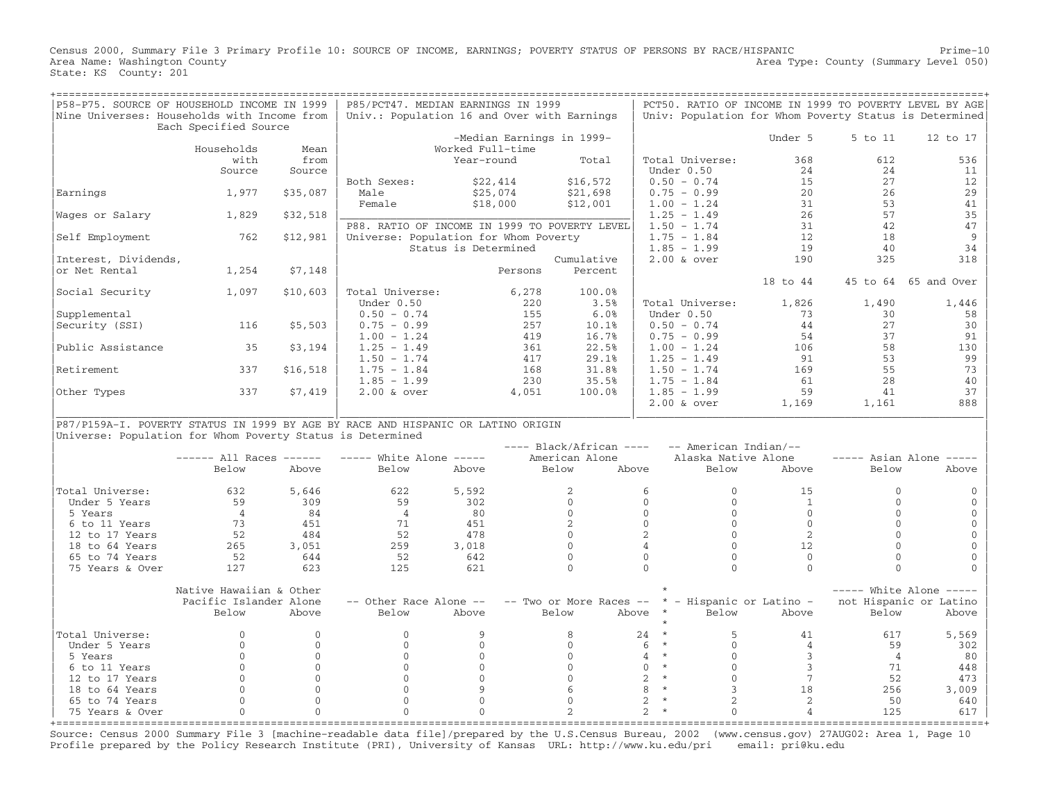Census 2000, Summary File 3 Primary Profile 10: SOURCE OF INCOME, EARNINGS; POVERTY STATUS OF PERSONS BY RACE/HISPANIC Prime−10<br>Area Name: Washington County Level 050) Area Type: County (Summary Level 050) State: KS County: 201

| P58-P75. SOURCE OF HOUSEHOLD INCOME IN 1999<br>Nine Universes: Households with Income from                                                     | Each Specified Source           |                          | P85/PCT47. MEDIAN EARNINGS IN 1999<br>Univ.: Population 16 and Over with Earnings      |                                               |              |                                             |                                     |                                              | PCT50. RATIO OF INCOME IN 1999 TO POVERTY LEVEL BY AGE |                      | Univ: Population for Whom Poverty Status is Determined |
|------------------------------------------------------------------------------------------------------------------------------------------------|---------------------------------|--------------------------|----------------------------------------------------------------------------------------|-----------------------------------------------|--------------|---------------------------------------------|-------------------------------------|----------------------------------------------|--------------------------------------------------------|----------------------|--------------------------------------------------------|
|                                                                                                                                                | Households                      | Mean                     |                                                                                        | -Median Earnings in 1999-<br>Worked Full-time |              |                                             |                                     |                                              | Under 5                                                | 5 to 11              | 12 to 17                                               |
|                                                                                                                                                | with<br>Source                  | from<br>Source           |                                                                                        | Year-round                                    |              | Total                                       |                                     | Total Universe:<br>Under 0.50                | 368<br>24                                              | 612<br>24            | 536<br>11                                              |
| Earnings                                                                                                                                       | 1,977                           | \$35,087                 | Both Sexes:<br>Male                                                                    | \$22,414<br>\$25,074                          |              | \$16,572<br>\$21,698                        |                                     | $0.50 - 0.74$<br>$0.75 - 0.99$               | 15<br>20                                               | 27<br>26             | 12<br>29                                               |
| Wages or Salary                                                                                                                                | 1,829                           | \$32,518                 | Female                                                                                 | \$18,000                                      |              | \$12,001                                    |                                     | $1.00 - 1.24$<br>$1.25 - 1.49$               | 31<br>26                                               | 53<br>57             | 41<br>35                                               |
| Self Employment                                                                                                                                | 762                             | \$12,981                 | P88. RATIO OF INCOME IN 1999 TO POVERTY LEVEL<br>Universe: Population for Whom Poverty |                                               |              |                                             |                                     | $1.50 - 1.74$<br>$1.75 - 1.84$               | 31<br>12                                               | 42<br>18             | 47<br>9                                                |
| Interest, Dividends,                                                                                                                           |                                 |                          |                                                                                        | Status is Determined                          |              | Cumulative                                  |                                     | $1.85 - 1.99$<br>$2.00$ & over               | 19<br>190                                              | 40<br>325            | 34<br>318                                              |
| or Net Rental                                                                                                                                  | 1,254                           | \$7,148                  |                                                                                        |                                               | Persons      | Percent                                     |                                     |                                              | 18 to 44                                               |                      | 45 to 64 65 and Over                                   |
| Social Security                                                                                                                                | 1,097                           | \$10,603                 | Total Universe:<br>Under 0.50                                                          |                                               | 6,278<br>220 | 100.0%<br>3.5%                              |                                     | Total Universe:                              | 1,826                                                  | 1,490                | 1,446                                                  |
| Supplemental<br>Security (SSI)                                                                                                                 | 116                             | \$5,503                  | $0.50 - 0.74$<br>$0.75 - 0.99$                                                         |                                               | 155<br>257   | 6.0%<br>10.1%                               |                                     | Under 0.50<br>$0.50 - 0.74$                  | 73<br>44                                               | 30<br>2.7            | 58<br>30                                               |
| Public Assistance                                                                                                                              | 35                              | \$3,194                  | $1.00 - 1.24$<br>$1.25 - 1.49$                                                         |                                               | 419<br>361   | 16.7%<br>22.5%                              |                                     | $0.75 - 0.99$<br>$1.00 - 1.24$               | 54<br>106                                              | 37<br>58             | 91<br>130                                              |
| Retirement                                                                                                                                     | 337                             | \$16,518                 | $1.50 - 1.74$<br>$1.75 - 1.84$                                                         |                                               | 417<br>168   | 29.1%<br>31.8%                              |                                     | $1.25 - 1.49$<br>$1.50 - 1.74$               | 91<br>169                                              | 53<br>55             | 99<br>73                                               |
| Other Types                                                                                                                                    | 337                             | \$7,419                  | $1.85 - 1.99$<br>$2.00$ & over                                                         |                                               | 230<br>4,051 | 35.5%<br>100.0%                             |                                     | $1.75 - 1.84$<br>$1.85 - 1.99$               | 61<br>59                                               | 2.8<br>41            | 40<br>37                                               |
|                                                                                                                                                |                                 |                          |                                                                                        |                                               |              |                                             |                                     | $2.00$ & over                                | 1,169                                                  | 1,161                | 888                                                    |
| P87/P159A-I. POVERTY STATUS IN 1999 BY AGE BY RACE AND HISPANIC OR LATINO ORIGIN<br>Universe: Population for Whom Poverty Status is Determined |                                 |                          |                                                                                        |                                               |              |                                             |                                     |                                              |                                                        |                      |                                                        |
|                                                                                                                                                | $----$ All Races ------         |                          | $---$ White Alone $---$                                                                |                                               |              | $---$ Black/African $---$<br>American Alone |                                     | -- American Indian/--<br>Alaska Native Alone |                                                        |                      | $---$ Asian Alone $---$                                |
|                                                                                                                                                | Below                           | Above                    | Below                                                                                  | Above                                         | Below        | Above                                       |                                     | Below                                        | Above                                                  | Below                | Above                                                  |
| Total Universe:<br>Under 5 Years                                                                                                               | 632<br>59                       | 5,646<br>309             | 622<br>59                                                                              | 5,592<br>302                                  |              | 2<br>$\Omega$                               | 6<br>$\Omega$                       | $\mathbf{0}$<br>$\Omega$                     | 15<br>$\overline{1}$                                   | $\Omega$<br>$\Omega$ |                                                        |
| 5 Years<br>6 to 11 Years                                                                                                                       | $\overline{4}$<br>73            | 84<br>451                | $\overline{4}$<br>71                                                                   | 80<br>451                                     |              | $\mathbf{0}$<br>2                           | $\mathbf{O}$<br>$\mathbf{0}$        | $\mathbf{0}$<br>$\mathbf{0}$                 | $\Omega$<br>$\Omega$                                   | $\Omega$<br>$\cap$   | $\Omega$<br>$\Omega$                                   |
| 12 to 17 Years<br>18 to 64 Years                                                                                                               | 52<br>265                       | 484<br>3,051             | 52<br>259                                                                              | 478<br>3,018                                  |              | $\mathbf{0}$<br>$\Omega$                    | 2<br>$\overline{4}$                 | $\mathbf{0}$<br>$\mathbf{0}$                 | 2<br>12                                                | $\Omega$<br>$\Omega$ | $\Omega$<br>$\Omega$                                   |
| 65 to 74 Years<br>75 Years & Over                                                                                                              | 52<br>127                       | 644<br>623               | 52<br>125                                                                              | 642<br>621                                    |              | $\mathbf{0}$<br>$\Omega$                    | $\Omega$<br>$\Omega$                | $\Omega$<br>$\Omega$                         | $\Omega$<br>$\Omega$                                   | $\Omega$<br>$\Omega$ | $\Omega$<br>$\cap$                                     |
|                                                                                                                                                | Native Hawaiian & Other         |                          |                                                                                        |                                               |              |                                             |                                     |                                              |                                                        |                      | $---$ White Alone $---$                                |
|                                                                                                                                                | Pacific Islander Alone<br>Below | Above                    | -- Other Race Alone --<br>Below                                                        | Above                                         | Below        | -- Two or More Races --                     | Above<br>$\star$                    | Below                                        | * - Hispanic or Latino -<br>Above                      | Below                | not Hispanic or Latino<br>Above                        |
| Total Universe:                                                                                                                                | $\Omega$<br>$\mathbf{0}$        | $\Omega$<br>$\mathbf{0}$ | $\Omega$<br>$\Omega$                                                                   | 9<br>$\Omega$                                 |              | 8<br>$\mathbf{0}$                           | 24<br>$\star$<br>$\star$<br>6       | 5<br>$\mathbf{0}$                            | 41<br>$\overline{4}$                                   | 617<br>59            | 5,569                                                  |
| Under 5 Years<br>5 Years                                                                                                                       | $\Omega$                        | $\mathbf{0}$             | $\Omega$                                                                               | $\Omega$                                      |              | $\Omega$                                    | $\star$<br>$\overline{4}$           | $\mathbf{0}$                                 | 3                                                      | $\overline{4}$       | 302<br>80                                              |
| 6 to 11 Years<br>12 to 17 Years                                                                                                                | $\Omega$<br>$\Omega$            | $\Omega$<br>$\mathbf{0}$ | $\Omega$<br>$\Omega$                                                                   | $\Omega$<br>$\Omega$                          |              | $\Omega$<br>$\Omega$                        | $\star$<br>$\Omega$<br>2<br>$\star$ | $\Omega$<br>$\mathbf{0}$                     | $\mathbf{3}$<br>$7\overline{ }$                        | 71<br>52             | 448<br>473                                             |
| 18 to 64 Years                                                                                                                                 | $\Omega$                        | $\mathbf 0$              | $\Omega$                                                                               | $\mathsf{Q}$                                  |              | 6                                           | $\star$<br>8                        | $\mathbf{3}$                                 | 18                                                     | 256                  | 3,009                                                  |
| 65 to 74 Years                                                                                                                                 | $\mathbf{0}$                    | $\mathbf 0$              | $\mathbf{0}$                                                                           | $\mathbf{0}$                                  |              | $\mathbf{0}$                                | 2                                   | $\overline{a}$                               | 2                                                      | 50                   | 640                                                    |
| 75 Years & Over<br>+==============                                                                                                             | $\mathbf{0}$                    | $\mathbf 0$              | $\Omega$                                                                               | $\Omega$                                      |              | $\overline{a}$                              | $\mathfrak{D}$                      | $\Omega$                                     | $\overline{4}$                                         | 125                  | 617                                                    |

Source: Census 2000 Summary File 3 [machine−readable data file]/prepared by the U.S.Census Bureau, 2002 (www.census.gov) 27AUG02: Area 1, Page 10 Profile prepared by the Policy Research Institute (PRI), University of Kansas URL: http://www.ku.edu/pri email: pri@ku.edu